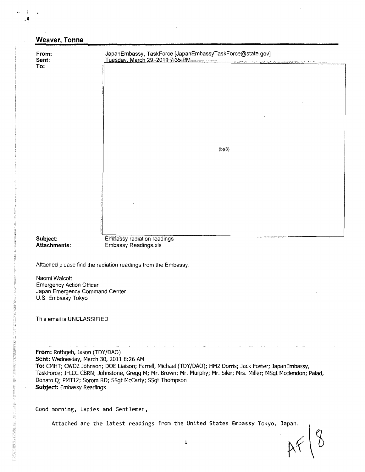| From:<br>Sent:                                                                          | JapanEmbassy, TaskForce [JapanEmbassyTaskForce@state.gov]<br>Tuesday, March 29, 2011-7:35 PM |  |  |  |  |  |  |  |  |
|-----------------------------------------------------------------------------------------|----------------------------------------------------------------------------------------------|--|--|--|--|--|--|--|--|
| To:                                                                                     |                                                                                              |  |  |  |  |  |  |  |  |
|                                                                                         |                                                                                              |  |  |  |  |  |  |  |  |
|                                                                                         |                                                                                              |  |  |  |  |  |  |  |  |
|                                                                                         |                                                                                              |  |  |  |  |  |  |  |  |
|                                                                                         |                                                                                              |  |  |  |  |  |  |  |  |
|                                                                                         |                                                                                              |  |  |  |  |  |  |  |  |
|                                                                                         | (b)(6)                                                                                       |  |  |  |  |  |  |  |  |
|                                                                                         |                                                                                              |  |  |  |  |  |  |  |  |
|                                                                                         |                                                                                              |  |  |  |  |  |  |  |  |
|                                                                                         |                                                                                              |  |  |  |  |  |  |  |  |
|                                                                                         |                                                                                              |  |  |  |  |  |  |  |  |
|                                                                                         |                                                                                              |  |  |  |  |  |  |  |  |
| Subject:                                                                                | Embassy radiation readings<br>eeds on dealers are<br>w                                       |  |  |  |  |  |  |  |  |
| <b>Attachments:</b>                                                                     | Embassy Readings.xls                                                                         |  |  |  |  |  |  |  |  |
|                                                                                         | Attached please find the radiation readings from the Embassy.                                |  |  |  |  |  |  |  |  |
| Naomi Walcott                                                                           |                                                                                              |  |  |  |  |  |  |  |  |
| <b>Emergency Action Officer</b><br>Japan Emergency Command Center<br>U.S. Embassy Tokyo |                                                                                              |  |  |  |  |  |  |  |  |
|                                                                                         |                                                                                              |  |  |  |  |  |  |  |  |

From: Rothgeb, Jason (TDY/DAO) Sent: Wednesday, March 30, 2011 8:26 AM To,: CMHT; CWO2 Johnson; DOE Liaison; Farrell, Michael (TDY/DAO); HM2 Dorris; Jack Foster; JapanEmbassy, TaskForce; JFLCC CBRN; Johnstone, Gregg M; Mr. Brown; Mr. Murphy; Mr. Siler; Mrs. Miller; MSgt Mcclendon; Palad, Donato Q; PMT12; Sorom RD; SSgt McCarty; SSgt Thompson Subject: Embassy Readings

Good morning, Ladies and Gentlemen,

"以上是你还是是我的是……""我没有这样的,我的是我们的,我们的,我们的,我们就是我们的,我们就会说,我们就会说,我们就是我们的,我们就是我们的,我们就是我们的,我们的,我们就是我们的,我们就是我们

Attached are the latest readings from the United States Embassy Tokyo, Japan.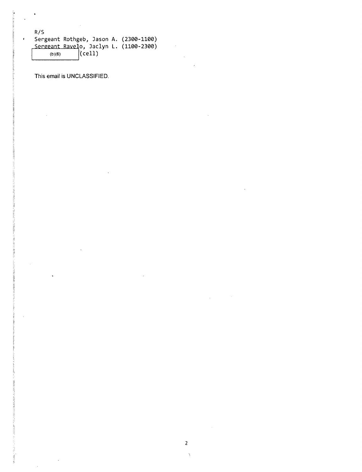R/S Sergeant Rothgeb, Jason A. (2300-1100) Sergeant Ravelo, Jaclyn L. (1100-2300  $(b)(6)$   $\left| \text{(cell)} \right|$ 

This email is **UNCLASSIFIED.**

l.

 $\pmb{\mathfrak{c}}$ 

ELECTRONIC NEWSFILM

resulted."

 $\ddot{\phantom{a}}$ 

 $\sim$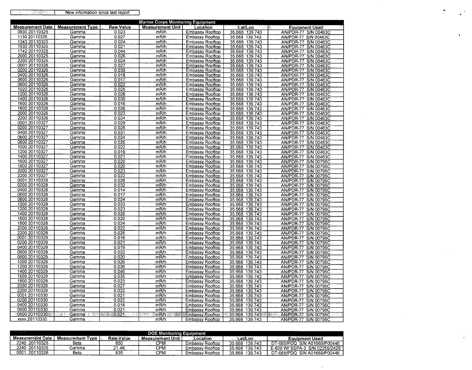|  | New information since last report |
|--|-----------------------------------|
|  |                                   |

| Measurement Date.   Measurement Type.   Raw Value<br>Measurement Unit<br>√⊾ ≹Eat/Lon and col≸.<br><b>Equipment Used</b><br>Location<br>film.<br>0930 20110325<br>0.023<br>mR/h<br>35.668 139.743<br>Gamma<br><b>Embassy Rooftop</b><br>AN/PDR-77 S/N 00463C<br>1130 20110325<br>0.027<br>Gamma<br>mR/h<br>35.668 139.743<br><b>Embassy Rooftop</b><br>AN/PDR-77 S/N 00463C<br>1343 20110325<br>0.024<br>Gamma<br>mR/h<br>35.668 139.743<br>AN/PDR-77 S/N 00463C<br><b>Embassy Rooftop</b><br>1530 20110325<br>0.021<br>Gamma<br>mR/h<br><b>Embassy Rooftop</b><br>35.668 139.743<br>AN/PDR-77 S/N 00463C<br>1742 20110325<br>0.044<br>Gamma<br>mR/h<br>Embassy Rooftop<br>35.668 139.743<br>AN/PDR-77 S/N 00463C<br>2000 20110325<br>0.026<br>m <sub>R/h</sub><br>Gamma<br>Embassy Rooftop<br>35.668 139.743<br>AN/PDR-77 S/N 00463C<br>2200 20110325<br>Gamma<br>0.024<br>mR/h<br><b>Embassy Rooftop</b><br>35.668 139.743<br>AN/PDR-77 S/N 00463C<br>0001 20110326<br>0.027<br>Gamma<br>mR/h<br>35.668 139.743<br>AN/PDR-77 S/N 00463C<br>Embassy Rooftop<br>0200 20110326<br>0.030<br>mR/h<br>35.668 139.743<br>AN/PDR-77 S/N 00463C<br>Gamma<br>Embassy Rooftop<br>0400 20110326<br>0.018<br>mR/h<br>AN/PDR-77 S/N 00463C<br>Gamma<br><b>Embassy Rooftop</b><br>35.668<br>139.743<br>0600 20110326<br>0.017<br>mR/h<br>Gamma<br><b>Embassy Rooftop</b><br>35.668 139.743<br>AN/PDR-77 S/N 00463C<br>0800 20110326<br>0.022<br>Gamma<br>mR/h<br><b>Embassy Rooftop</b><br>35.668 139.743<br>AN/PDR-77 S/N 00463C<br>1020 20110326<br>0.025<br>mR/h<br>35.668 139.743<br>AN/PDR-77 S/N 00463C<br>Gamma<br>Embassy Rooftop<br>1200 20110326<br>0.028<br>Gamma<br>mR/h<br>Embassy Rooftop<br>35.668 139.743<br>AN/PDR-77 S/N 00463C<br>1400 20110326<br>0.030<br>mR/h<br>Gamma<br><b>Embassy Rooftop</b><br>35.668 139.743<br>AN/PDR-77 S/N 00463C<br>1600 20110326<br>Gamma<br>0.016<br>mR/h<br>35.668 139.743<br>AN/PDR-77 S/N 00463C<br>Embassy Rooftop<br>1800 20110326<br>0.026<br>mR/h<br>35.668 139.743<br>Gamma<br>Embassy Rooftop<br>AN/PDR-77 S/N 00463C<br>2000 20110326<br>0.023<br>Gamma<br>mR/h<br>35.668 139.743<br>AN/PDR-77 S/N 00463C<br>Embassy Rooftop<br>2200 20110326<br>0.024<br>mR/h<br>35.668<br>Gamma<br>Embassy Rooftop<br>139.743<br>AN/PDR-77 S/N 00463C<br>0001 20110327<br>0.029<br>mR/h<br>Gamma<br><b>Embassy Rooftop</b><br>35.668 139.743<br>AN/PDR-77 S/N 00463C<br>0200 20110327<br>0.028<br>Gamma<br>mR/h<br>Embassy Rooftop<br>35.668 139.743<br>AN/PDR-77 S/N 00463C<br>0400 20110327<br>0.031<br>mR/h<br>35.668 139.743<br>Gamma<br>Embassy Rooftop<br>AN/PDR-77 S/N 00463C<br>0600 20110327<br>0.024<br>Gamma<br>mR/h<br><b>Embassy Rooftop</b><br>35.668 139.743<br>AN/PDR-77 S/N 00463C<br>0800 20110327<br>Gamma<br>0.026<br>mR/h<br>35.668<br>Embassy Rooftop<br>139.743<br>AN/PDR-77<br>S/N 00463C<br>1000 20110327<br>0.022<br>mR/h<br><b>Embassy Rooftop</b><br>35.668 139.743<br>AN/PDR-77 S/N 00463C<br>Gamma<br>1200 20110327<br>0.019<br>mR/h<br>Gamma<br>Embassy Rooftop<br>35.668 139.743<br>AN/PDR-77 S/N 00463C<br>1400 20110327<br>0.021<br>mR/h<br>35.668 139.743<br>Gamma<br>Embassy Rooftop<br>AN/PDR-77 S/N 00463C<br>1600 20110327<br>Gamma<br>0.020<br>mR/h<br><b>Embassy Rooftop</b><br>35.668 139.743<br>AN/PDR-77 S/N 00795C<br>1800 20110327<br>0.020<br>mR/h<br>Gamma<br>Embassy Rooftop<br>35.668 139.743<br>AN/PDR-77 S/N 00795C<br>2000 20110327<br>0.023<br>Gamma<br>mR/h<br>Embassy Rooftop<br>35.668 139.743<br>AN/PDR-77 S/N 00795C<br>2200 20110327<br>0.022<br>Gamma<br>mR/h<br>35.668 139.743<br>AN/PDR-77 S/N 00795C<br>Embassy Rooftop<br>0001 20110328<br>Gamma<br>0.026<br>mR/h<br>Embassy Rooftop<br>35.668<br>139.743<br>AN/PDR-77 S/N 00795C<br>0200 20110328<br>0.032<br>mR/h<br>35.668 139.743<br>AN/PDR-77 S/N 00795C<br>Gamma<br>Embassy Rooftop<br>0400 20110328<br>Gamma<br>0.014<br>mR/h<br>35.668<br>139.743<br>AN/PDR-77 S/N 00795C<br><b>Embassy Rooftop</b><br>0600 20110328<br>0.017<br>mR/h<br><b>Embassy Rooftop</b><br>35.668<br>139.743<br>AN/PDR-77 S/N 00795C<br>Gamma<br>0800 20110328<br>0.024<br>Gamma<br>mR/h<br><b>Embassy Rooftop</b><br>35.668<br>139.743<br>AN/PDR-77 S/N 00795C<br>1000 20110328<br>0.033<br>Gamma<br>mR/h<br><b>Embassy Rooftop</b><br>35.668 139.743<br>AN/PDR-77 S/N 00795C<br>1200 20110328<br>0.023<br>mR/h<br>Gamma<br>35.668 139.743<br>AN/PDR-77 S/N 00795C<br>Embassy Rooftop<br>1400 20110328<br>0.028<br>mR/h<br>35.668 139.743<br>AN/PDR-77 S/N 00795C<br>Gamma<br>Embassy Rooftop<br>1600 20110328<br>0.020<br>Gamma<br>mR/h<br>Embassy Rooftop<br>35.668<br>139.743<br>AN/PDR-77 S/N 00795C<br>1800 20110328<br>Gamma<br>0.024<br>mR/h<br><b>Embassy Rooftop</b><br>35.668 139.743<br>AN/PDR-77 S/N 00795C<br>2000 20110328<br>0.022<br>Gamma<br>mR/h<br>35.668 139.743<br>AN/PDR-77 S/N 00795C<br>Embassy Rooftop<br>2200 20110328<br>0.025<br>mR/h<br>Embassy Rooftop<br>35.668 139.743<br>AN/PDR-77 S/N 00795C<br>Gamma<br>0001 20110329<br>Gamma<br>0.016<br>mR/h<br><b>Embassy Rooftop</b><br>35.668 139.743<br>AN/PDR-77 S/N 00795C<br>0200 20110329<br>Gamma<br>0.021<br>mR/h<br>35.668 139.743<br>AN/PDR-77 S/N 00795C<br>Embassy Rooftop<br>0400 20110329<br>0.019<br>Gamma<br>mR/h<br><b>Embassy Rooftop</b><br>35.668 139.743<br>AN/PDR-77 S/N 00795C<br>0600 20110329<br>0.022<br>Gamma<br>mR/h<br>Embassy Rooftop<br>35.668 139.743<br>AN/PDR-77 S/N 00795C<br>0800 20110329<br>0.020<br>mR/h<br>139.743<br>Gamma<br>Embassy Rooftop<br>35.668<br>AN/PDR-77 S/N 00795C<br>1000 20110329<br>0.026<br>mR/h<br>Gamma<br><b>Embassy Rooftop</b><br>35.668 139.743<br>AN/PDR-77 S/N 00795C<br>1200 20110329<br>0.026<br>Gamma<br>mR/h<br><b>Embassy Rooftop</b><br>35.668 139.743<br>AN/PDR-77 S/N 00795C<br>1400 20110329<br>0.046<br>Gamma<br>mR/h<br>Embassy Rooftop<br>35.668 139.743<br>AN/PDR-77 S/N 00795C<br>1600 20110329<br>0.035<br>Gamma<br>mR/h<br>35.668 139.743<br>AN/PDR-77 S/N 00795C<br>Embassy Rooftop<br>1800 20110329<br>Gamma<br>0.023<br>mR/h<br>35.668<br>139.743<br>AN/PDR-77 S/N 00795C<br>Embassy Rooftop<br>2000 20110329<br>0.027<br>mR/h<br>35.668 139.743<br>AN/PDR-77 S/N 00795C<br>Gamma<br>Embassy Rooftop<br>2200 20110329<br>35.668 139.743<br>0.022<br>Gamma<br>mR/h<br><b>Embassy Rooftop</b><br>AN/PDR-77 S/N 00795C<br>0001 20110330<br>0.021<br>mR/h<br>35.668<br>Gamma<br><b>Embassy Rooftop</b><br>139.743<br>AN/PDR-77 S/N 00795C<br>0200 20110330<br>Gamma<br>0.022<br>mR/h<br>Embassy Rooftop<br>35.668<br>139.743<br>AN/PDR-77 S/N 00795C<br>0400 20110330<br>Gamma<br>0.018<br>mR/h<br>35.668<br>139.743<br>AN/PDR-77 S/N 00795C<br>Embassy Rooftop<br>0600 20110330<br>0.021<br>mR/h<br>35.668 139.743<br>Gamma<br>Embassy Rooftop<br>AN/PDR-77 S/N 00795C<br>10800 20110330<br>52<br>Gamma<br>XW<br>. ಸಂ:0.021<br>a M<br>とうこう<br>mR/h 2008<br>35.668 139.743<br>AN/PDR-77 S/N 00795C<br><b>Embassy Rooftop</b><br>exa<br>na ar St | <b>Marine Corps Monitoring Equipment</b> |       |  |      |                 |                |                      |  |  |  |  |  |
|--------------------------------------------------------------------------------------------------------------------------------------------------------------------------------------------------------------------------------------------------------------------------------------------------------------------------------------------------------------------------------------------------------------------------------------------------------------------------------------------------------------------------------------------------------------------------------------------------------------------------------------------------------------------------------------------------------------------------------------------------------------------------------------------------------------------------------------------------------------------------------------------------------------------------------------------------------------------------------------------------------------------------------------------------------------------------------------------------------------------------------------------------------------------------------------------------------------------------------------------------------------------------------------------------------------------------------------------------------------------------------------------------------------------------------------------------------------------------------------------------------------------------------------------------------------------------------------------------------------------------------------------------------------------------------------------------------------------------------------------------------------------------------------------------------------------------------------------------------------------------------------------------------------------------------------------------------------------------------------------------------------------------------------------------------------------------------------------------------------------------------------------------------------------------------------------------------------------------------------------------------------------------------------------------------------------------------------------------------------------------------------------------------------------------------------------------------------------------------------------------------------------------------------------------------------------------------------------------------------------------------------------------------------------------------------------------------------------------------------------------------------------------------------------------------------------------------------------------------------------------------------------------------------------------------------------------------------------------------------------------------------------------------------------------------------------------------------------------------------------------------------------------------------------------------------------------------------------------------------------------------------------------------------------------------------------------------------------------------------------------------------------------------------------------------------------------------------------------------------------------------------------------------------------------------------------------------------------------------------------------------------------------------------------------------------------------------------------------------------------------------------------------------------------------------------------------------------------------------------------------------------------------------------------------------------------------------------------------------------------------------------------------------------------------------------------------------------------------------------------------------------------------------------------------------------------------------------------------------------------------------------------------------------------------------------------------------------------------------------------------------------------------------------------------------------------------------------------------------------------------------------------------------------------------------------------------------------------------------------------------------------------------------------------------------------------------------------------------------------------------------------------------------------------------------------------------------------------------------------------------------------------------------------------------------------------------------------------------------------------------------------------------------------------------------------------------------------------------------------------------------------------------------------------------------------------------------------------------------------------------------------------------------------------------------------------------------------------------------------------------------------------------------------------------------------------------------------------------------------------------------------------------------------------------------------------------------------------------------------------------------------------------------------------------------------------------------------------------------------------------------------------------------------------------------------------------------------------------------------------------------------------------------------------------------------------------------------------------------------------------------------------------------------------------------------------------------------------------------------------------------------------------------------------------------------------------------------------------------------------------------------------------------------------------------------------------------------------------------------------------------------------------------------------------------------------------------------------------------------------------------------------------------------------------------------------------------------------------------------------------------------------------------------------------------------------------------------------------------------------------------------------------------------------------------------------------------------------------------------------------------------------------------------------------------------------|------------------------------------------|-------|--|------|-----------------|----------------|----------------------|--|--|--|--|--|
|                                                                                                                                                                                                                                                                                                                                                                                                                                                                                                                                                                                                                                                                                                                                                                                                                                                                                                                                                                                                                                                                                                                                                                                                                                                                                                                                                                                                                                                                                                                                                                                                                                                                                                                                                                                                                                                                                                                                                                                                                                                                                                                                                                                                                                                                                                                                                                                                                                                                                                                                                                                                                                                                                                                                                                                                                                                                                                                                                                                                                                                                                                                                                                                                                                                                                                                                                                                                                                                                                                                                                                                                                                                                                                                                                                                                                                                                                                                                                                                                                                                                                                                                                                                                                                                                                                                                                                                                                                                                                                                                                                                                                                                                                                                                                                                                                                                                                                                                                                                                                                                                                                                                                                                                                                                                                                                                                                                                                                                                                                                                                                                                                                                                                                                                                                                                                                                                                                                                                                                                                                                                                                                                                                                                                                                                                                                                                                                                                                                                                                                                                                                                                                                                                                                                                                                                                                                                                                                                            |                                          |       |  |      |                 |                |                      |  |  |  |  |  |
|                                                                                                                                                                                                                                                                                                                                                                                                                                                                                                                                                                                                                                                                                                                                                                                                                                                                                                                                                                                                                                                                                                                                                                                                                                                                                                                                                                                                                                                                                                                                                                                                                                                                                                                                                                                                                                                                                                                                                                                                                                                                                                                                                                                                                                                                                                                                                                                                                                                                                                                                                                                                                                                                                                                                                                                                                                                                                                                                                                                                                                                                                                                                                                                                                                                                                                                                                                                                                                                                                                                                                                                                                                                                                                                                                                                                                                                                                                                                                                                                                                                                                                                                                                                                                                                                                                                                                                                                                                                                                                                                                                                                                                                                                                                                                                                                                                                                                                                                                                                                                                                                                                                                                                                                                                                                                                                                                                                                                                                                                                                                                                                                                                                                                                                                                                                                                                                                                                                                                                                                                                                                                                                                                                                                                                                                                                                                                                                                                                                                                                                                                                                                                                                                                                                                                                                                                                                                                                                                            |                                          |       |  |      |                 |                |                      |  |  |  |  |  |
|                                                                                                                                                                                                                                                                                                                                                                                                                                                                                                                                                                                                                                                                                                                                                                                                                                                                                                                                                                                                                                                                                                                                                                                                                                                                                                                                                                                                                                                                                                                                                                                                                                                                                                                                                                                                                                                                                                                                                                                                                                                                                                                                                                                                                                                                                                                                                                                                                                                                                                                                                                                                                                                                                                                                                                                                                                                                                                                                                                                                                                                                                                                                                                                                                                                                                                                                                                                                                                                                                                                                                                                                                                                                                                                                                                                                                                                                                                                                                                                                                                                                                                                                                                                                                                                                                                                                                                                                                                                                                                                                                                                                                                                                                                                                                                                                                                                                                                                                                                                                                                                                                                                                                                                                                                                                                                                                                                                                                                                                                                                                                                                                                                                                                                                                                                                                                                                                                                                                                                                                                                                                                                                                                                                                                                                                                                                                                                                                                                                                                                                                                                                                                                                                                                                                                                                                                                                                                                                                            |                                          |       |  |      |                 |                |                      |  |  |  |  |  |
|                                                                                                                                                                                                                                                                                                                                                                                                                                                                                                                                                                                                                                                                                                                                                                                                                                                                                                                                                                                                                                                                                                                                                                                                                                                                                                                                                                                                                                                                                                                                                                                                                                                                                                                                                                                                                                                                                                                                                                                                                                                                                                                                                                                                                                                                                                                                                                                                                                                                                                                                                                                                                                                                                                                                                                                                                                                                                                                                                                                                                                                                                                                                                                                                                                                                                                                                                                                                                                                                                                                                                                                                                                                                                                                                                                                                                                                                                                                                                                                                                                                                                                                                                                                                                                                                                                                                                                                                                                                                                                                                                                                                                                                                                                                                                                                                                                                                                                                                                                                                                                                                                                                                                                                                                                                                                                                                                                                                                                                                                                                                                                                                                                                                                                                                                                                                                                                                                                                                                                                                                                                                                                                                                                                                                                                                                                                                                                                                                                                                                                                                                                                                                                                                                                                                                                                                                                                                                                                                            |                                          |       |  |      |                 |                |                      |  |  |  |  |  |
|                                                                                                                                                                                                                                                                                                                                                                                                                                                                                                                                                                                                                                                                                                                                                                                                                                                                                                                                                                                                                                                                                                                                                                                                                                                                                                                                                                                                                                                                                                                                                                                                                                                                                                                                                                                                                                                                                                                                                                                                                                                                                                                                                                                                                                                                                                                                                                                                                                                                                                                                                                                                                                                                                                                                                                                                                                                                                                                                                                                                                                                                                                                                                                                                                                                                                                                                                                                                                                                                                                                                                                                                                                                                                                                                                                                                                                                                                                                                                                                                                                                                                                                                                                                                                                                                                                                                                                                                                                                                                                                                                                                                                                                                                                                                                                                                                                                                                                                                                                                                                                                                                                                                                                                                                                                                                                                                                                                                                                                                                                                                                                                                                                                                                                                                                                                                                                                                                                                                                                                                                                                                                                                                                                                                                                                                                                                                                                                                                                                                                                                                                                                                                                                                                                                                                                                                                                                                                                                                            |                                          |       |  |      |                 |                |                      |  |  |  |  |  |
|                                                                                                                                                                                                                                                                                                                                                                                                                                                                                                                                                                                                                                                                                                                                                                                                                                                                                                                                                                                                                                                                                                                                                                                                                                                                                                                                                                                                                                                                                                                                                                                                                                                                                                                                                                                                                                                                                                                                                                                                                                                                                                                                                                                                                                                                                                                                                                                                                                                                                                                                                                                                                                                                                                                                                                                                                                                                                                                                                                                                                                                                                                                                                                                                                                                                                                                                                                                                                                                                                                                                                                                                                                                                                                                                                                                                                                                                                                                                                                                                                                                                                                                                                                                                                                                                                                                                                                                                                                                                                                                                                                                                                                                                                                                                                                                                                                                                                                                                                                                                                                                                                                                                                                                                                                                                                                                                                                                                                                                                                                                                                                                                                                                                                                                                                                                                                                                                                                                                                                                                                                                                                                                                                                                                                                                                                                                                                                                                                                                                                                                                                                                                                                                                                                                                                                                                                                                                                                                                            |                                          |       |  |      |                 |                |                      |  |  |  |  |  |
|                                                                                                                                                                                                                                                                                                                                                                                                                                                                                                                                                                                                                                                                                                                                                                                                                                                                                                                                                                                                                                                                                                                                                                                                                                                                                                                                                                                                                                                                                                                                                                                                                                                                                                                                                                                                                                                                                                                                                                                                                                                                                                                                                                                                                                                                                                                                                                                                                                                                                                                                                                                                                                                                                                                                                                                                                                                                                                                                                                                                                                                                                                                                                                                                                                                                                                                                                                                                                                                                                                                                                                                                                                                                                                                                                                                                                                                                                                                                                                                                                                                                                                                                                                                                                                                                                                                                                                                                                                                                                                                                                                                                                                                                                                                                                                                                                                                                                                                                                                                                                                                                                                                                                                                                                                                                                                                                                                                                                                                                                                                                                                                                                                                                                                                                                                                                                                                                                                                                                                                                                                                                                                                                                                                                                                                                                                                                                                                                                                                                                                                                                                                                                                                                                                                                                                                                                                                                                                                                            |                                          |       |  |      |                 |                |                      |  |  |  |  |  |
|                                                                                                                                                                                                                                                                                                                                                                                                                                                                                                                                                                                                                                                                                                                                                                                                                                                                                                                                                                                                                                                                                                                                                                                                                                                                                                                                                                                                                                                                                                                                                                                                                                                                                                                                                                                                                                                                                                                                                                                                                                                                                                                                                                                                                                                                                                                                                                                                                                                                                                                                                                                                                                                                                                                                                                                                                                                                                                                                                                                                                                                                                                                                                                                                                                                                                                                                                                                                                                                                                                                                                                                                                                                                                                                                                                                                                                                                                                                                                                                                                                                                                                                                                                                                                                                                                                                                                                                                                                                                                                                                                                                                                                                                                                                                                                                                                                                                                                                                                                                                                                                                                                                                                                                                                                                                                                                                                                                                                                                                                                                                                                                                                                                                                                                                                                                                                                                                                                                                                                                                                                                                                                                                                                                                                                                                                                                                                                                                                                                                                                                                                                                                                                                                                                                                                                                                                                                                                                                                            |                                          |       |  |      |                 |                |                      |  |  |  |  |  |
|                                                                                                                                                                                                                                                                                                                                                                                                                                                                                                                                                                                                                                                                                                                                                                                                                                                                                                                                                                                                                                                                                                                                                                                                                                                                                                                                                                                                                                                                                                                                                                                                                                                                                                                                                                                                                                                                                                                                                                                                                                                                                                                                                                                                                                                                                                                                                                                                                                                                                                                                                                                                                                                                                                                                                                                                                                                                                                                                                                                                                                                                                                                                                                                                                                                                                                                                                                                                                                                                                                                                                                                                                                                                                                                                                                                                                                                                                                                                                                                                                                                                                                                                                                                                                                                                                                                                                                                                                                                                                                                                                                                                                                                                                                                                                                                                                                                                                                                                                                                                                                                                                                                                                                                                                                                                                                                                                                                                                                                                                                                                                                                                                                                                                                                                                                                                                                                                                                                                                                                                                                                                                                                                                                                                                                                                                                                                                                                                                                                                                                                                                                                                                                                                                                                                                                                                                                                                                                                                            |                                          |       |  |      |                 |                |                      |  |  |  |  |  |
|                                                                                                                                                                                                                                                                                                                                                                                                                                                                                                                                                                                                                                                                                                                                                                                                                                                                                                                                                                                                                                                                                                                                                                                                                                                                                                                                                                                                                                                                                                                                                                                                                                                                                                                                                                                                                                                                                                                                                                                                                                                                                                                                                                                                                                                                                                                                                                                                                                                                                                                                                                                                                                                                                                                                                                                                                                                                                                                                                                                                                                                                                                                                                                                                                                                                                                                                                                                                                                                                                                                                                                                                                                                                                                                                                                                                                                                                                                                                                                                                                                                                                                                                                                                                                                                                                                                                                                                                                                                                                                                                                                                                                                                                                                                                                                                                                                                                                                                                                                                                                                                                                                                                                                                                                                                                                                                                                                                                                                                                                                                                                                                                                                                                                                                                                                                                                                                                                                                                                                                                                                                                                                                                                                                                                                                                                                                                                                                                                                                                                                                                                                                                                                                                                                                                                                                                                                                                                                                                            |                                          |       |  |      |                 |                |                      |  |  |  |  |  |
|                                                                                                                                                                                                                                                                                                                                                                                                                                                                                                                                                                                                                                                                                                                                                                                                                                                                                                                                                                                                                                                                                                                                                                                                                                                                                                                                                                                                                                                                                                                                                                                                                                                                                                                                                                                                                                                                                                                                                                                                                                                                                                                                                                                                                                                                                                                                                                                                                                                                                                                                                                                                                                                                                                                                                                                                                                                                                                                                                                                                                                                                                                                                                                                                                                                                                                                                                                                                                                                                                                                                                                                                                                                                                                                                                                                                                                                                                                                                                                                                                                                                                                                                                                                                                                                                                                                                                                                                                                                                                                                                                                                                                                                                                                                                                                                                                                                                                                                                                                                                                                                                                                                                                                                                                                                                                                                                                                                                                                                                                                                                                                                                                                                                                                                                                                                                                                                                                                                                                                                                                                                                                                                                                                                                                                                                                                                                                                                                                                                                                                                                                                                                                                                                                                                                                                                                                                                                                                                                            |                                          |       |  |      |                 |                |                      |  |  |  |  |  |
|                                                                                                                                                                                                                                                                                                                                                                                                                                                                                                                                                                                                                                                                                                                                                                                                                                                                                                                                                                                                                                                                                                                                                                                                                                                                                                                                                                                                                                                                                                                                                                                                                                                                                                                                                                                                                                                                                                                                                                                                                                                                                                                                                                                                                                                                                                                                                                                                                                                                                                                                                                                                                                                                                                                                                                                                                                                                                                                                                                                                                                                                                                                                                                                                                                                                                                                                                                                                                                                                                                                                                                                                                                                                                                                                                                                                                                                                                                                                                                                                                                                                                                                                                                                                                                                                                                                                                                                                                                                                                                                                                                                                                                                                                                                                                                                                                                                                                                                                                                                                                                                                                                                                                                                                                                                                                                                                                                                                                                                                                                                                                                                                                                                                                                                                                                                                                                                                                                                                                                                                                                                                                                                                                                                                                                                                                                                                                                                                                                                                                                                                                                                                                                                                                                                                                                                                                                                                                                                                            |                                          |       |  |      |                 |                |                      |  |  |  |  |  |
|                                                                                                                                                                                                                                                                                                                                                                                                                                                                                                                                                                                                                                                                                                                                                                                                                                                                                                                                                                                                                                                                                                                                                                                                                                                                                                                                                                                                                                                                                                                                                                                                                                                                                                                                                                                                                                                                                                                                                                                                                                                                                                                                                                                                                                                                                                                                                                                                                                                                                                                                                                                                                                                                                                                                                                                                                                                                                                                                                                                                                                                                                                                                                                                                                                                                                                                                                                                                                                                                                                                                                                                                                                                                                                                                                                                                                                                                                                                                                                                                                                                                                                                                                                                                                                                                                                                                                                                                                                                                                                                                                                                                                                                                                                                                                                                                                                                                                                                                                                                                                                                                                                                                                                                                                                                                                                                                                                                                                                                                                                                                                                                                                                                                                                                                                                                                                                                                                                                                                                                                                                                                                                                                                                                                                                                                                                                                                                                                                                                                                                                                                                                                                                                                                                                                                                                                                                                                                                                                            |                                          |       |  |      |                 |                |                      |  |  |  |  |  |
|                                                                                                                                                                                                                                                                                                                                                                                                                                                                                                                                                                                                                                                                                                                                                                                                                                                                                                                                                                                                                                                                                                                                                                                                                                                                                                                                                                                                                                                                                                                                                                                                                                                                                                                                                                                                                                                                                                                                                                                                                                                                                                                                                                                                                                                                                                                                                                                                                                                                                                                                                                                                                                                                                                                                                                                                                                                                                                                                                                                                                                                                                                                                                                                                                                                                                                                                                                                                                                                                                                                                                                                                                                                                                                                                                                                                                                                                                                                                                                                                                                                                                                                                                                                                                                                                                                                                                                                                                                                                                                                                                                                                                                                                                                                                                                                                                                                                                                                                                                                                                                                                                                                                                                                                                                                                                                                                                                                                                                                                                                                                                                                                                                                                                                                                                                                                                                                                                                                                                                                                                                                                                                                                                                                                                                                                                                                                                                                                                                                                                                                                                                                                                                                                                                                                                                                                                                                                                                                                            |                                          |       |  |      |                 |                |                      |  |  |  |  |  |
|                                                                                                                                                                                                                                                                                                                                                                                                                                                                                                                                                                                                                                                                                                                                                                                                                                                                                                                                                                                                                                                                                                                                                                                                                                                                                                                                                                                                                                                                                                                                                                                                                                                                                                                                                                                                                                                                                                                                                                                                                                                                                                                                                                                                                                                                                                                                                                                                                                                                                                                                                                                                                                                                                                                                                                                                                                                                                                                                                                                                                                                                                                                                                                                                                                                                                                                                                                                                                                                                                                                                                                                                                                                                                                                                                                                                                                                                                                                                                                                                                                                                                                                                                                                                                                                                                                                                                                                                                                                                                                                                                                                                                                                                                                                                                                                                                                                                                                                                                                                                                                                                                                                                                                                                                                                                                                                                                                                                                                                                                                                                                                                                                                                                                                                                                                                                                                                                                                                                                                                                                                                                                                                                                                                                                                                                                                                                                                                                                                                                                                                                                                                                                                                                                                                                                                                                                                                                                                                                            |                                          |       |  |      |                 |                |                      |  |  |  |  |  |
|                                                                                                                                                                                                                                                                                                                                                                                                                                                                                                                                                                                                                                                                                                                                                                                                                                                                                                                                                                                                                                                                                                                                                                                                                                                                                                                                                                                                                                                                                                                                                                                                                                                                                                                                                                                                                                                                                                                                                                                                                                                                                                                                                                                                                                                                                                                                                                                                                                                                                                                                                                                                                                                                                                                                                                                                                                                                                                                                                                                                                                                                                                                                                                                                                                                                                                                                                                                                                                                                                                                                                                                                                                                                                                                                                                                                                                                                                                                                                                                                                                                                                                                                                                                                                                                                                                                                                                                                                                                                                                                                                                                                                                                                                                                                                                                                                                                                                                                                                                                                                                                                                                                                                                                                                                                                                                                                                                                                                                                                                                                                                                                                                                                                                                                                                                                                                                                                                                                                                                                                                                                                                                                                                                                                                                                                                                                                                                                                                                                                                                                                                                                                                                                                                                                                                                                                                                                                                                                                            |                                          |       |  |      |                 |                |                      |  |  |  |  |  |
|                                                                                                                                                                                                                                                                                                                                                                                                                                                                                                                                                                                                                                                                                                                                                                                                                                                                                                                                                                                                                                                                                                                                                                                                                                                                                                                                                                                                                                                                                                                                                                                                                                                                                                                                                                                                                                                                                                                                                                                                                                                                                                                                                                                                                                                                                                                                                                                                                                                                                                                                                                                                                                                                                                                                                                                                                                                                                                                                                                                                                                                                                                                                                                                                                                                                                                                                                                                                                                                                                                                                                                                                                                                                                                                                                                                                                                                                                                                                                                                                                                                                                                                                                                                                                                                                                                                                                                                                                                                                                                                                                                                                                                                                                                                                                                                                                                                                                                                                                                                                                                                                                                                                                                                                                                                                                                                                                                                                                                                                                                                                                                                                                                                                                                                                                                                                                                                                                                                                                                                                                                                                                                                                                                                                                                                                                                                                                                                                                                                                                                                                                                                                                                                                                                                                                                                                                                                                                                                                            |                                          |       |  |      |                 |                |                      |  |  |  |  |  |
|                                                                                                                                                                                                                                                                                                                                                                                                                                                                                                                                                                                                                                                                                                                                                                                                                                                                                                                                                                                                                                                                                                                                                                                                                                                                                                                                                                                                                                                                                                                                                                                                                                                                                                                                                                                                                                                                                                                                                                                                                                                                                                                                                                                                                                                                                                                                                                                                                                                                                                                                                                                                                                                                                                                                                                                                                                                                                                                                                                                                                                                                                                                                                                                                                                                                                                                                                                                                                                                                                                                                                                                                                                                                                                                                                                                                                                                                                                                                                                                                                                                                                                                                                                                                                                                                                                                                                                                                                                                                                                                                                                                                                                                                                                                                                                                                                                                                                                                                                                                                                                                                                                                                                                                                                                                                                                                                                                                                                                                                                                                                                                                                                                                                                                                                                                                                                                                                                                                                                                                                                                                                                                                                                                                                                                                                                                                                                                                                                                                                                                                                                                                                                                                                                                                                                                                                                                                                                                                                            |                                          |       |  |      |                 |                |                      |  |  |  |  |  |
|                                                                                                                                                                                                                                                                                                                                                                                                                                                                                                                                                                                                                                                                                                                                                                                                                                                                                                                                                                                                                                                                                                                                                                                                                                                                                                                                                                                                                                                                                                                                                                                                                                                                                                                                                                                                                                                                                                                                                                                                                                                                                                                                                                                                                                                                                                                                                                                                                                                                                                                                                                                                                                                                                                                                                                                                                                                                                                                                                                                                                                                                                                                                                                                                                                                                                                                                                                                                                                                                                                                                                                                                                                                                                                                                                                                                                                                                                                                                                                                                                                                                                                                                                                                                                                                                                                                                                                                                                                                                                                                                                                                                                                                                                                                                                                                                                                                                                                                                                                                                                                                                                                                                                                                                                                                                                                                                                                                                                                                                                                                                                                                                                                                                                                                                                                                                                                                                                                                                                                                                                                                                                                                                                                                                                                                                                                                                                                                                                                                                                                                                                                                                                                                                                                                                                                                                                                                                                                                                            |                                          |       |  |      |                 |                |                      |  |  |  |  |  |
|                                                                                                                                                                                                                                                                                                                                                                                                                                                                                                                                                                                                                                                                                                                                                                                                                                                                                                                                                                                                                                                                                                                                                                                                                                                                                                                                                                                                                                                                                                                                                                                                                                                                                                                                                                                                                                                                                                                                                                                                                                                                                                                                                                                                                                                                                                                                                                                                                                                                                                                                                                                                                                                                                                                                                                                                                                                                                                                                                                                                                                                                                                                                                                                                                                                                                                                                                                                                                                                                                                                                                                                                                                                                                                                                                                                                                                                                                                                                                                                                                                                                                                                                                                                                                                                                                                                                                                                                                                                                                                                                                                                                                                                                                                                                                                                                                                                                                                                                                                                                                                                                                                                                                                                                                                                                                                                                                                                                                                                                                                                                                                                                                                                                                                                                                                                                                                                                                                                                                                                                                                                                                                                                                                                                                                                                                                                                                                                                                                                                                                                                                                                                                                                                                                                                                                                                                                                                                                                                            |                                          |       |  |      |                 |                |                      |  |  |  |  |  |
|                                                                                                                                                                                                                                                                                                                                                                                                                                                                                                                                                                                                                                                                                                                                                                                                                                                                                                                                                                                                                                                                                                                                                                                                                                                                                                                                                                                                                                                                                                                                                                                                                                                                                                                                                                                                                                                                                                                                                                                                                                                                                                                                                                                                                                                                                                                                                                                                                                                                                                                                                                                                                                                                                                                                                                                                                                                                                                                                                                                                                                                                                                                                                                                                                                                                                                                                                                                                                                                                                                                                                                                                                                                                                                                                                                                                                                                                                                                                                                                                                                                                                                                                                                                                                                                                                                                                                                                                                                                                                                                                                                                                                                                                                                                                                                                                                                                                                                                                                                                                                                                                                                                                                                                                                                                                                                                                                                                                                                                                                                                                                                                                                                                                                                                                                                                                                                                                                                                                                                                                                                                                                                                                                                                                                                                                                                                                                                                                                                                                                                                                                                                                                                                                                                                                                                                                                                                                                                                                            |                                          |       |  |      |                 |                |                      |  |  |  |  |  |
|                                                                                                                                                                                                                                                                                                                                                                                                                                                                                                                                                                                                                                                                                                                                                                                                                                                                                                                                                                                                                                                                                                                                                                                                                                                                                                                                                                                                                                                                                                                                                                                                                                                                                                                                                                                                                                                                                                                                                                                                                                                                                                                                                                                                                                                                                                                                                                                                                                                                                                                                                                                                                                                                                                                                                                                                                                                                                                                                                                                                                                                                                                                                                                                                                                                                                                                                                                                                                                                                                                                                                                                                                                                                                                                                                                                                                                                                                                                                                                                                                                                                                                                                                                                                                                                                                                                                                                                                                                                                                                                                                                                                                                                                                                                                                                                                                                                                                                                                                                                                                                                                                                                                                                                                                                                                                                                                                                                                                                                                                                                                                                                                                                                                                                                                                                                                                                                                                                                                                                                                                                                                                                                                                                                                                                                                                                                                                                                                                                                                                                                                                                                                                                                                                                                                                                                                                                                                                                                                            |                                          |       |  |      |                 |                |                      |  |  |  |  |  |
|                                                                                                                                                                                                                                                                                                                                                                                                                                                                                                                                                                                                                                                                                                                                                                                                                                                                                                                                                                                                                                                                                                                                                                                                                                                                                                                                                                                                                                                                                                                                                                                                                                                                                                                                                                                                                                                                                                                                                                                                                                                                                                                                                                                                                                                                                                                                                                                                                                                                                                                                                                                                                                                                                                                                                                                                                                                                                                                                                                                                                                                                                                                                                                                                                                                                                                                                                                                                                                                                                                                                                                                                                                                                                                                                                                                                                                                                                                                                                                                                                                                                                                                                                                                                                                                                                                                                                                                                                                                                                                                                                                                                                                                                                                                                                                                                                                                                                                                                                                                                                                                                                                                                                                                                                                                                                                                                                                                                                                                                                                                                                                                                                                                                                                                                                                                                                                                                                                                                                                                                                                                                                                                                                                                                                                                                                                                                                                                                                                                                                                                                                                                                                                                                                                                                                                                                                                                                                                                                            |                                          |       |  |      |                 |                |                      |  |  |  |  |  |
|                                                                                                                                                                                                                                                                                                                                                                                                                                                                                                                                                                                                                                                                                                                                                                                                                                                                                                                                                                                                                                                                                                                                                                                                                                                                                                                                                                                                                                                                                                                                                                                                                                                                                                                                                                                                                                                                                                                                                                                                                                                                                                                                                                                                                                                                                                                                                                                                                                                                                                                                                                                                                                                                                                                                                                                                                                                                                                                                                                                                                                                                                                                                                                                                                                                                                                                                                                                                                                                                                                                                                                                                                                                                                                                                                                                                                                                                                                                                                                                                                                                                                                                                                                                                                                                                                                                                                                                                                                                                                                                                                                                                                                                                                                                                                                                                                                                                                                                                                                                                                                                                                                                                                                                                                                                                                                                                                                                                                                                                                                                                                                                                                                                                                                                                                                                                                                                                                                                                                                                                                                                                                                                                                                                                                                                                                                                                                                                                                                                                                                                                                                                                                                                                                                                                                                                                                                                                                                                                            |                                          |       |  |      |                 |                |                      |  |  |  |  |  |
|                                                                                                                                                                                                                                                                                                                                                                                                                                                                                                                                                                                                                                                                                                                                                                                                                                                                                                                                                                                                                                                                                                                                                                                                                                                                                                                                                                                                                                                                                                                                                                                                                                                                                                                                                                                                                                                                                                                                                                                                                                                                                                                                                                                                                                                                                                                                                                                                                                                                                                                                                                                                                                                                                                                                                                                                                                                                                                                                                                                                                                                                                                                                                                                                                                                                                                                                                                                                                                                                                                                                                                                                                                                                                                                                                                                                                                                                                                                                                                                                                                                                                                                                                                                                                                                                                                                                                                                                                                                                                                                                                                                                                                                                                                                                                                                                                                                                                                                                                                                                                                                                                                                                                                                                                                                                                                                                                                                                                                                                                                                                                                                                                                                                                                                                                                                                                                                                                                                                                                                                                                                                                                                                                                                                                                                                                                                                                                                                                                                                                                                                                                                                                                                                                                                                                                                                                                                                                                                                            |                                          |       |  |      |                 |                |                      |  |  |  |  |  |
|                                                                                                                                                                                                                                                                                                                                                                                                                                                                                                                                                                                                                                                                                                                                                                                                                                                                                                                                                                                                                                                                                                                                                                                                                                                                                                                                                                                                                                                                                                                                                                                                                                                                                                                                                                                                                                                                                                                                                                                                                                                                                                                                                                                                                                                                                                                                                                                                                                                                                                                                                                                                                                                                                                                                                                                                                                                                                                                                                                                                                                                                                                                                                                                                                                                                                                                                                                                                                                                                                                                                                                                                                                                                                                                                                                                                                                                                                                                                                                                                                                                                                                                                                                                                                                                                                                                                                                                                                                                                                                                                                                                                                                                                                                                                                                                                                                                                                                                                                                                                                                                                                                                                                                                                                                                                                                                                                                                                                                                                                                                                                                                                                                                                                                                                                                                                                                                                                                                                                                                                                                                                                                                                                                                                                                                                                                                                                                                                                                                                                                                                                                                                                                                                                                                                                                                                                                                                                                                                            |                                          |       |  |      |                 |                |                      |  |  |  |  |  |
|                                                                                                                                                                                                                                                                                                                                                                                                                                                                                                                                                                                                                                                                                                                                                                                                                                                                                                                                                                                                                                                                                                                                                                                                                                                                                                                                                                                                                                                                                                                                                                                                                                                                                                                                                                                                                                                                                                                                                                                                                                                                                                                                                                                                                                                                                                                                                                                                                                                                                                                                                                                                                                                                                                                                                                                                                                                                                                                                                                                                                                                                                                                                                                                                                                                                                                                                                                                                                                                                                                                                                                                                                                                                                                                                                                                                                                                                                                                                                                                                                                                                                                                                                                                                                                                                                                                                                                                                                                                                                                                                                                                                                                                                                                                                                                                                                                                                                                                                                                                                                                                                                                                                                                                                                                                                                                                                                                                                                                                                                                                                                                                                                                                                                                                                                                                                                                                                                                                                                                                                                                                                                                                                                                                                                                                                                                                                                                                                                                                                                                                                                                                                                                                                                                                                                                                                                                                                                                                                            |                                          |       |  |      |                 |                |                      |  |  |  |  |  |
|                                                                                                                                                                                                                                                                                                                                                                                                                                                                                                                                                                                                                                                                                                                                                                                                                                                                                                                                                                                                                                                                                                                                                                                                                                                                                                                                                                                                                                                                                                                                                                                                                                                                                                                                                                                                                                                                                                                                                                                                                                                                                                                                                                                                                                                                                                                                                                                                                                                                                                                                                                                                                                                                                                                                                                                                                                                                                                                                                                                                                                                                                                                                                                                                                                                                                                                                                                                                                                                                                                                                                                                                                                                                                                                                                                                                                                                                                                                                                                                                                                                                                                                                                                                                                                                                                                                                                                                                                                                                                                                                                                                                                                                                                                                                                                                                                                                                                                                                                                                                                                                                                                                                                                                                                                                                                                                                                                                                                                                                                                                                                                                                                                                                                                                                                                                                                                                                                                                                                                                                                                                                                                                                                                                                                                                                                                                                                                                                                                                                                                                                                                                                                                                                                                                                                                                                                                                                                                                                            |                                          |       |  |      |                 |                |                      |  |  |  |  |  |
|                                                                                                                                                                                                                                                                                                                                                                                                                                                                                                                                                                                                                                                                                                                                                                                                                                                                                                                                                                                                                                                                                                                                                                                                                                                                                                                                                                                                                                                                                                                                                                                                                                                                                                                                                                                                                                                                                                                                                                                                                                                                                                                                                                                                                                                                                                                                                                                                                                                                                                                                                                                                                                                                                                                                                                                                                                                                                                                                                                                                                                                                                                                                                                                                                                                                                                                                                                                                                                                                                                                                                                                                                                                                                                                                                                                                                                                                                                                                                                                                                                                                                                                                                                                                                                                                                                                                                                                                                                                                                                                                                                                                                                                                                                                                                                                                                                                                                                                                                                                                                                                                                                                                                                                                                                                                                                                                                                                                                                                                                                                                                                                                                                                                                                                                                                                                                                                                                                                                                                                                                                                                                                                                                                                                                                                                                                                                                                                                                                                                                                                                                                                                                                                                                                                                                                                                                                                                                                                                            |                                          |       |  |      |                 |                |                      |  |  |  |  |  |
|                                                                                                                                                                                                                                                                                                                                                                                                                                                                                                                                                                                                                                                                                                                                                                                                                                                                                                                                                                                                                                                                                                                                                                                                                                                                                                                                                                                                                                                                                                                                                                                                                                                                                                                                                                                                                                                                                                                                                                                                                                                                                                                                                                                                                                                                                                                                                                                                                                                                                                                                                                                                                                                                                                                                                                                                                                                                                                                                                                                                                                                                                                                                                                                                                                                                                                                                                                                                                                                                                                                                                                                                                                                                                                                                                                                                                                                                                                                                                                                                                                                                                                                                                                                                                                                                                                                                                                                                                                                                                                                                                                                                                                                                                                                                                                                                                                                                                                                                                                                                                                                                                                                                                                                                                                                                                                                                                                                                                                                                                                                                                                                                                                                                                                                                                                                                                                                                                                                                                                                                                                                                                                                                                                                                                                                                                                                                                                                                                                                                                                                                                                                                                                                                                                                                                                                                                                                                                                                                            |                                          |       |  |      |                 |                |                      |  |  |  |  |  |
|                                                                                                                                                                                                                                                                                                                                                                                                                                                                                                                                                                                                                                                                                                                                                                                                                                                                                                                                                                                                                                                                                                                                                                                                                                                                                                                                                                                                                                                                                                                                                                                                                                                                                                                                                                                                                                                                                                                                                                                                                                                                                                                                                                                                                                                                                                                                                                                                                                                                                                                                                                                                                                                                                                                                                                                                                                                                                                                                                                                                                                                                                                                                                                                                                                                                                                                                                                                                                                                                                                                                                                                                                                                                                                                                                                                                                                                                                                                                                                                                                                                                                                                                                                                                                                                                                                                                                                                                                                                                                                                                                                                                                                                                                                                                                                                                                                                                                                                                                                                                                                                                                                                                                                                                                                                                                                                                                                                                                                                                                                                                                                                                                                                                                                                                                                                                                                                                                                                                                                                                                                                                                                                                                                                                                                                                                                                                                                                                                                                                                                                                                                                                                                                                                                                                                                                                                                                                                                                                            |                                          |       |  |      |                 |                |                      |  |  |  |  |  |
|                                                                                                                                                                                                                                                                                                                                                                                                                                                                                                                                                                                                                                                                                                                                                                                                                                                                                                                                                                                                                                                                                                                                                                                                                                                                                                                                                                                                                                                                                                                                                                                                                                                                                                                                                                                                                                                                                                                                                                                                                                                                                                                                                                                                                                                                                                                                                                                                                                                                                                                                                                                                                                                                                                                                                                                                                                                                                                                                                                                                                                                                                                                                                                                                                                                                                                                                                                                                                                                                                                                                                                                                                                                                                                                                                                                                                                                                                                                                                                                                                                                                                                                                                                                                                                                                                                                                                                                                                                                                                                                                                                                                                                                                                                                                                                                                                                                                                                                                                                                                                                                                                                                                                                                                                                                                                                                                                                                                                                                                                                                                                                                                                                                                                                                                                                                                                                                                                                                                                                                                                                                                                                                                                                                                                                                                                                                                                                                                                                                                                                                                                                                                                                                                                                                                                                                                                                                                                                                                            |                                          |       |  |      |                 |                |                      |  |  |  |  |  |
|                                                                                                                                                                                                                                                                                                                                                                                                                                                                                                                                                                                                                                                                                                                                                                                                                                                                                                                                                                                                                                                                                                                                                                                                                                                                                                                                                                                                                                                                                                                                                                                                                                                                                                                                                                                                                                                                                                                                                                                                                                                                                                                                                                                                                                                                                                                                                                                                                                                                                                                                                                                                                                                                                                                                                                                                                                                                                                                                                                                                                                                                                                                                                                                                                                                                                                                                                                                                                                                                                                                                                                                                                                                                                                                                                                                                                                                                                                                                                                                                                                                                                                                                                                                                                                                                                                                                                                                                                                                                                                                                                                                                                                                                                                                                                                                                                                                                                                                                                                                                                                                                                                                                                                                                                                                                                                                                                                                                                                                                                                                                                                                                                                                                                                                                                                                                                                                                                                                                                                                                                                                                                                                                                                                                                                                                                                                                                                                                                                                                                                                                                                                                                                                                                                                                                                                                                                                                                                                                            |                                          |       |  |      |                 |                |                      |  |  |  |  |  |
|                                                                                                                                                                                                                                                                                                                                                                                                                                                                                                                                                                                                                                                                                                                                                                                                                                                                                                                                                                                                                                                                                                                                                                                                                                                                                                                                                                                                                                                                                                                                                                                                                                                                                                                                                                                                                                                                                                                                                                                                                                                                                                                                                                                                                                                                                                                                                                                                                                                                                                                                                                                                                                                                                                                                                                                                                                                                                                                                                                                                                                                                                                                                                                                                                                                                                                                                                                                                                                                                                                                                                                                                                                                                                                                                                                                                                                                                                                                                                                                                                                                                                                                                                                                                                                                                                                                                                                                                                                                                                                                                                                                                                                                                                                                                                                                                                                                                                                                                                                                                                                                                                                                                                                                                                                                                                                                                                                                                                                                                                                                                                                                                                                                                                                                                                                                                                                                                                                                                                                                                                                                                                                                                                                                                                                                                                                                                                                                                                                                                                                                                                                                                                                                                                                                                                                                                                                                                                                                                            |                                          |       |  |      |                 |                |                      |  |  |  |  |  |
|                                                                                                                                                                                                                                                                                                                                                                                                                                                                                                                                                                                                                                                                                                                                                                                                                                                                                                                                                                                                                                                                                                                                                                                                                                                                                                                                                                                                                                                                                                                                                                                                                                                                                                                                                                                                                                                                                                                                                                                                                                                                                                                                                                                                                                                                                                                                                                                                                                                                                                                                                                                                                                                                                                                                                                                                                                                                                                                                                                                                                                                                                                                                                                                                                                                                                                                                                                                                                                                                                                                                                                                                                                                                                                                                                                                                                                                                                                                                                                                                                                                                                                                                                                                                                                                                                                                                                                                                                                                                                                                                                                                                                                                                                                                                                                                                                                                                                                                                                                                                                                                                                                                                                                                                                                                                                                                                                                                                                                                                                                                                                                                                                                                                                                                                                                                                                                                                                                                                                                                                                                                                                                                                                                                                                                                                                                                                                                                                                                                                                                                                                                                                                                                                                                                                                                                                                                                                                                                                            |                                          |       |  |      |                 |                |                      |  |  |  |  |  |
|                                                                                                                                                                                                                                                                                                                                                                                                                                                                                                                                                                                                                                                                                                                                                                                                                                                                                                                                                                                                                                                                                                                                                                                                                                                                                                                                                                                                                                                                                                                                                                                                                                                                                                                                                                                                                                                                                                                                                                                                                                                                                                                                                                                                                                                                                                                                                                                                                                                                                                                                                                                                                                                                                                                                                                                                                                                                                                                                                                                                                                                                                                                                                                                                                                                                                                                                                                                                                                                                                                                                                                                                                                                                                                                                                                                                                                                                                                                                                                                                                                                                                                                                                                                                                                                                                                                                                                                                                                                                                                                                                                                                                                                                                                                                                                                                                                                                                                                                                                                                                                                                                                                                                                                                                                                                                                                                                                                                                                                                                                                                                                                                                                                                                                                                                                                                                                                                                                                                                                                                                                                                                                                                                                                                                                                                                                                                                                                                                                                                                                                                                                                                                                                                                                                                                                                                                                                                                                                                            |                                          |       |  |      |                 |                |                      |  |  |  |  |  |
|                                                                                                                                                                                                                                                                                                                                                                                                                                                                                                                                                                                                                                                                                                                                                                                                                                                                                                                                                                                                                                                                                                                                                                                                                                                                                                                                                                                                                                                                                                                                                                                                                                                                                                                                                                                                                                                                                                                                                                                                                                                                                                                                                                                                                                                                                                                                                                                                                                                                                                                                                                                                                                                                                                                                                                                                                                                                                                                                                                                                                                                                                                                                                                                                                                                                                                                                                                                                                                                                                                                                                                                                                                                                                                                                                                                                                                                                                                                                                                                                                                                                                                                                                                                                                                                                                                                                                                                                                                                                                                                                                                                                                                                                                                                                                                                                                                                                                                                                                                                                                                                                                                                                                                                                                                                                                                                                                                                                                                                                                                                                                                                                                                                                                                                                                                                                                                                                                                                                                                                                                                                                                                                                                                                                                                                                                                                                                                                                                                                                                                                                                                                                                                                                                                                                                                                                                                                                                                                                            |                                          |       |  |      |                 |                |                      |  |  |  |  |  |
|                                                                                                                                                                                                                                                                                                                                                                                                                                                                                                                                                                                                                                                                                                                                                                                                                                                                                                                                                                                                                                                                                                                                                                                                                                                                                                                                                                                                                                                                                                                                                                                                                                                                                                                                                                                                                                                                                                                                                                                                                                                                                                                                                                                                                                                                                                                                                                                                                                                                                                                                                                                                                                                                                                                                                                                                                                                                                                                                                                                                                                                                                                                                                                                                                                                                                                                                                                                                                                                                                                                                                                                                                                                                                                                                                                                                                                                                                                                                                                                                                                                                                                                                                                                                                                                                                                                                                                                                                                                                                                                                                                                                                                                                                                                                                                                                                                                                                                                                                                                                                                                                                                                                                                                                                                                                                                                                                                                                                                                                                                                                                                                                                                                                                                                                                                                                                                                                                                                                                                                                                                                                                                                                                                                                                                                                                                                                                                                                                                                                                                                                                                                                                                                                                                                                                                                                                                                                                                                                            |                                          |       |  |      |                 |                |                      |  |  |  |  |  |
|                                                                                                                                                                                                                                                                                                                                                                                                                                                                                                                                                                                                                                                                                                                                                                                                                                                                                                                                                                                                                                                                                                                                                                                                                                                                                                                                                                                                                                                                                                                                                                                                                                                                                                                                                                                                                                                                                                                                                                                                                                                                                                                                                                                                                                                                                                                                                                                                                                                                                                                                                                                                                                                                                                                                                                                                                                                                                                                                                                                                                                                                                                                                                                                                                                                                                                                                                                                                                                                                                                                                                                                                                                                                                                                                                                                                                                                                                                                                                                                                                                                                                                                                                                                                                                                                                                                                                                                                                                                                                                                                                                                                                                                                                                                                                                                                                                                                                                                                                                                                                                                                                                                                                                                                                                                                                                                                                                                                                                                                                                                                                                                                                                                                                                                                                                                                                                                                                                                                                                                                                                                                                                                                                                                                                                                                                                                                                                                                                                                                                                                                                                                                                                                                                                                                                                                                                                                                                                                                            |                                          |       |  |      |                 |                |                      |  |  |  |  |  |
|                                                                                                                                                                                                                                                                                                                                                                                                                                                                                                                                                                                                                                                                                                                                                                                                                                                                                                                                                                                                                                                                                                                                                                                                                                                                                                                                                                                                                                                                                                                                                                                                                                                                                                                                                                                                                                                                                                                                                                                                                                                                                                                                                                                                                                                                                                                                                                                                                                                                                                                                                                                                                                                                                                                                                                                                                                                                                                                                                                                                                                                                                                                                                                                                                                                                                                                                                                                                                                                                                                                                                                                                                                                                                                                                                                                                                                                                                                                                                                                                                                                                                                                                                                                                                                                                                                                                                                                                                                                                                                                                                                                                                                                                                                                                                                                                                                                                                                                                                                                                                                                                                                                                                                                                                                                                                                                                                                                                                                                                                                                                                                                                                                                                                                                                                                                                                                                                                                                                                                                                                                                                                                                                                                                                                                                                                                                                                                                                                                                                                                                                                                                                                                                                                                                                                                                                                                                                                                                                            |                                          |       |  |      |                 |                |                      |  |  |  |  |  |
|                                                                                                                                                                                                                                                                                                                                                                                                                                                                                                                                                                                                                                                                                                                                                                                                                                                                                                                                                                                                                                                                                                                                                                                                                                                                                                                                                                                                                                                                                                                                                                                                                                                                                                                                                                                                                                                                                                                                                                                                                                                                                                                                                                                                                                                                                                                                                                                                                                                                                                                                                                                                                                                                                                                                                                                                                                                                                                                                                                                                                                                                                                                                                                                                                                                                                                                                                                                                                                                                                                                                                                                                                                                                                                                                                                                                                                                                                                                                                                                                                                                                                                                                                                                                                                                                                                                                                                                                                                                                                                                                                                                                                                                                                                                                                                                                                                                                                                                                                                                                                                                                                                                                                                                                                                                                                                                                                                                                                                                                                                                                                                                                                                                                                                                                                                                                                                                                                                                                                                                                                                                                                                                                                                                                                                                                                                                                                                                                                                                                                                                                                                                                                                                                                                                                                                                                                                                                                                                                            |                                          |       |  |      |                 |                |                      |  |  |  |  |  |
|                                                                                                                                                                                                                                                                                                                                                                                                                                                                                                                                                                                                                                                                                                                                                                                                                                                                                                                                                                                                                                                                                                                                                                                                                                                                                                                                                                                                                                                                                                                                                                                                                                                                                                                                                                                                                                                                                                                                                                                                                                                                                                                                                                                                                                                                                                                                                                                                                                                                                                                                                                                                                                                                                                                                                                                                                                                                                                                                                                                                                                                                                                                                                                                                                                                                                                                                                                                                                                                                                                                                                                                                                                                                                                                                                                                                                                                                                                                                                                                                                                                                                                                                                                                                                                                                                                                                                                                                                                                                                                                                                                                                                                                                                                                                                                                                                                                                                                                                                                                                                                                                                                                                                                                                                                                                                                                                                                                                                                                                                                                                                                                                                                                                                                                                                                                                                                                                                                                                                                                                                                                                                                                                                                                                                                                                                                                                                                                                                                                                                                                                                                                                                                                                                                                                                                                                                                                                                                                                            |                                          |       |  |      |                 |                |                      |  |  |  |  |  |
|                                                                                                                                                                                                                                                                                                                                                                                                                                                                                                                                                                                                                                                                                                                                                                                                                                                                                                                                                                                                                                                                                                                                                                                                                                                                                                                                                                                                                                                                                                                                                                                                                                                                                                                                                                                                                                                                                                                                                                                                                                                                                                                                                                                                                                                                                                                                                                                                                                                                                                                                                                                                                                                                                                                                                                                                                                                                                                                                                                                                                                                                                                                                                                                                                                                                                                                                                                                                                                                                                                                                                                                                                                                                                                                                                                                                                                                                                                                                                                                                                                                                                                                                                                                                                                                                                                                                                                                                                                                                                                                                                                                                                                                                                                                                                                                                                                                                                                                                                                                                                                                                                                                                                                                                                                                                                                                                                                                                                                                                                                                                                                                                                                                                                                                                                                                                                                                                                                                                                                                                                                                                                                                                                                                                                                                                                                                                                                                                                                                                                                                                                                                                                                                                                                                                                                                                                                                                                                                                            |                                          |       |  |      |                 |                |                      |  |  |  |  |  |
|                                                                                                                                                                                                                                                                                                                                                                                                                                                                                                                                                                                                                                                                                                                                                                                                                                                                                                                                                                                                                                                                                                                                                                                                                                                                                                                                                                                                                                                                                                                                                                                                                                                                                                                                                                                                                                                                                                                                                                                                                                                                                                                                                                                                                                                                                                                                                                                                                                                                                                                                                                                                                                                                                                                                                                                                                                                                                                                                                                                                                                                                                                                                                                                                                                                                                                                                                                                                                                                                                                                                                                                                                                                                                                                                                                                                                                                                                                                                                                                                                                                                                                                                                                                                                                                                                                                                                                                                                                                                                                                                                                                                                                                                                                                                                                                                                                                                                                                                                                                                                                                                                                                                                                                                                                                                                                                                                                                                                                                                                                                                                                                                                                                                                                                                                                                                                                                                                                                                                                                                                                                                                                                                                                                                                                                                                                                                                                                                                                                                                                                                                                                                                                                                                                                                                                                                                                                                                                                                            |                                          |       |  |      |                 |                |                      |  |  |  |  |  |
|                                                                                                                                                                                                                                                                                                                                                                                                                                                                                                                                                                                                                                                                                                                                                                                                                                                                                                                                                                                                                                                                                                                                                                                                                                                                                                                                                                                                                                                                                                                                                                                                                                                                                                                                                                                                                                                                                                                                                                                                                                                                                                                                                                                                                                                                                                                                                                                                                                                                                                                                                                                                                                                                                                                                                                                                                                                                                                                                                                                                                                                                                                                                                                                                                                                                                                                                                                                                                                                                                                                                                                                                                                                                                                                                                                                                                                                                                                                                                                                                                                                                                                                                                                                                                                                                                                                                                                                                                                                                                                                                                                                                                                                                                                                                                                                                                                                                                                                                                                                                                                                                                                                                                                                                                                                                                                                                                                                                                                                                                                                                                                                                                                                                                                                                                                                                                                                                                                                                                                                                                                                                                                                                                                                                                                                                                                                                                                                                                                                                                                                                                                                                                                                                                                                                                                                                                                                                                                                                            |                                          |       |  |      |                 |                |                      |  |  |  |  |  |
|                                                                                                                                                                                                                                                                                                                                                                                                                                                                                                                                                                                                                                                                                                                                                                                                                                                                                                                                                                                                                                                                                                                                                                                                                                                                                                                                                                                                                                                                                                                                                                                                                                                                                                                                                                                                                                                                                                                                                                                                                                                                                                                                                                                                                                                                                                                                                                                                                                                                                                                                                                                                                                                                                                                                                                                                                                                                                                                                                                                                                                                                                                                                                                                                                                                                                                                                                                                                                                                                                                                                                                                                                                                                                                                                                                                                                                                                                                                                                                                                                                                                                                                                                                                                                                                                                                                                                                                                                                                                                                                                                                                                                                                                                                                                                                                                                                                                                                                                                                                                                                                                                                                                                                                                                                                                                                                                                                                                                                                                                                                                                                                                                                                                                                                                                                                                                                                                                                                                                                                                                                                                                                                                                                                                                                                                                                                                                                                                                                                                                                                                                                                                                                                                                                                                                                                                                                                                                                                                            |                                          |       |  |      |                 |                |                      |  |  |  |  |  |
|                                                                                                                                                                                                                                                                                                                                                                                                                                                                                                                                                                                                                                                                                                                                                                                                                                                                                                                                                                                                                                                                                                                                                                                                                                                                                                                                                                                                                                                                                                                                                                                                                                                                                                                                                                                                                                                                                                                                                                                                                                                                                                                                                                                                                                                                                                                                                                                                                                                                                                                                                                                                                                                                                                                                                                                                                                                                                                                                                                                                                                                                                                                                                                                                                                                                                                                                                                                                                                                                                                                                                                                                                                                                                                                                                                                                                                                                                                                                                                                                                                                                                                                                                                                                                                                                                                                                                                                                                                                                                                                                                                                                                                                                                                                                                                                                                                                                                                                                                                                                                                                                                                                                                                                                                                                                                                                                                                                                                                                                                                                                                                                                                                                                                                                                                                                                                                                                                                                                                                                                                                                                                                                                                                                                                                                                                                                                                                                                                                                                                                                                                                                                                                                                                                                                                                                                                                                                                                                                            |                                          |       |  |      |                 |                |                      |  |  |  |  |  |
|                                                                                                                                                                                                                                                                                                                                                                                                                                                                                                                                                                                                                                                                                                                                                                                                                                                                                                                                                                                                                                                                                                                                                                                                                                                                                                                                                                                                                                                                                                                                                                                                                                                                                                                                                                                                                                                                                                                                                                                                                                                                                                                                                                                                                                                                                                                                                                                                                                                                                                                                                                                                                                                                                                                                                                                                                                                                                                                                                                                                                                                                                                                                                                                                                                                                                                                                                                                                                                                                                                                                                                                                                                                                                                                                                                                                                                                                                                                                                                                                                                                                                                                                                                                                                                                                                                                                                                                                                                                                                                                                                                                                                                                                                                                                                                                                                                                                                                                                                                                                                                                                                                                                                                                                                                                                                                                                                                                                                                                                                                                                                                                                                                                                                                                                                                                                                                                                                                                                                                                                                                                                                                                                                                                                                                                                                                                                                                                                                                                                                                                                                                                                                                                                                                                                                                                                                                                                                                                                            |                                          |       |  |      |                 |                |                      |  |  |  |  |  |
|                                                                                                                                                                                                                                                                                                                                                                                                                                                                                                                                                                                                                                                                                                                                                                                                                                                                                                                                                                                                                                                                                                                                                                                                                                                                                                                                                                                                                                                                                                                                                                                                                                                                                                                                                                                                                                                                                                                                                                                                                                                                                                                                                                                                                                                                                                                                                                                                                                                                                                                                                                                                                                                                                                                                                                                                                                                                                                                                                                                                                                                                                                                                                                                                                                                                                                                                                                                                                                                                                                                                                                                                                                                                                                                                                                                                                                                                                                                                                                                                                                                                                                                                                                                                                                                                                                                                                                                                                                                                                                                                                                                                                                                                                                                                                                                                                                                                                                                                                                                                                                                                                                                                                                                                                                                                                                                                                                                                                                                                                                                                                                                                                                                                                                                                                                                                                                                                                                                                                                                                                                                                                                                                                                                                                                                                                                                                                                                                                                                                                                                                                                                                                                                                                                                                                                                                                                                                                                                                            |                                          |       |  |      |                 |                |                      |  |  |  |  |  |
|                                                                                                                                                                                                                                                                                                                                                                                                                                                                                                                                                                                                                                                                                                                                                                                                                                                                                                                                                                                                                                                                                                                                                                                                                                                                                                                                                                                                                                                                                                                                                                                                                                                                                                                                                                                                                                                                                                                                                                                                                                                                                                                                                                                                                                                                                                                                                                                                                                                                                                                                                                                                                                                                                                                                                                                                                                                                                                                                                                                                                                                                                                                                                                                                                                                                                                                                                                                                                                                                                                                                                                                                                                                                                                                                                                                                                                                                                                                                                                                                                                                                                                                                                                                                                                                                                                                                                                                                                                                                                                                                                                                                                                                                                                                                                                                                                                                                                                                                                                                                                                                                                                                                                                                                                                                                                                                                                                                                                                                                                                                                                                                                                                                                                                                                                                                                                                                                                                                                                                                                                                                                                                                                                                                                                                                                                                                                                                                                                                                                                                                                                                                                                                                                                                                                                                                                                                                                                                                                            |                                          |       |  |      |                 |                |                      |  |  |  |  |  |
|                                                                                                                                                                                                                                                                                                                                                                                                                                                                                                                                                                                                                                                                                                                                                                                                                                                                                                                                                                                                                                                                                                                                                                                                                                                                                                                                                                                                                                                                                                                                                                                                                                                                                                                                                                                                                                                                                                                                                                                                                                                                                                                                                                                                                                                                                                                                                                                                                                                                                                                                                                                                                                                                                                                                                                                                                                                                                                                                                                                                                                                                                                                                                                                                                                                                                                                                                                                                                                                                                                                                                                                                                                                                                                                                                                                                                                                                                                                                                                                                                                                                                                                                                                                                                                                                                                                                                                                                                                                                                                                                                                                                                                                                                                                                                                                                                                                                                                                                                                                                                                                                                                                                                                                                                                                                                                                                                                                                                                                                                                                                                                                                                                                                                                                                                                                                                                                                                                                                                                                                                                                                                                                                                                                                                                                                                                                                                                                                                                                                                                                                                                                                                                                                                                                                                                                                                                                                                                                                            |                                          |       |  |      |                 |                |                      |  |  |  |  |  |
|                                                                                                                                                                                                                                                                                                                                                                                                                                                                                                                                                                                                                                                                                                                                                                                                                                                                                                                                                                                                                                                                                                                                                                                                                                                                                                                                                                                                                                                                                                                                                                                                                                                                                                                                                                                                                                                                                                                                                                                                                                                                                                                                                                                                                                                                                                                                                                                                                                                                                                                                                                                                                                                                                                                                                                                                                                                                                                                                                                                                                                                                                                                                                                                                                                                                                                                                                                                                                                                                                                                                                                                                                                                                                                                                                                                                                                                                                                                                                                                                                                                                                                                                                                                                                                                                                                                                                                                                                                                                                                                                                                                                                                                                                                                                                                                                                                                                                                                                                                                                                                                                                                                                                                                                                                                                                                                                                                                                                                                                                                                                                                                                                                                                                                                                                                                                                                                                                                                                                                                                                                                                                                                                                                                                                                                                                                                                                                                                                                                                                                                                                                                                                                                                                                                                                                                                                                                                                                                                            |                                          |       |  |      |                 |                |                      |  |  |  |  |  |
|                                                                                                                                                                                                                                                                                                                                                                                                                                                                                                                                                                                                                                                                                                                                                                                                                                                                                                                                                                                                                                                                                                                                                                                                                                                                                                                                                                                                                                                                                                                                                                                                                                                                                                                                                                                                                                                                                                                                                                                                                                                                                                                                                                                                                                                                                                                                                                                                                                                                                                                                                                                                                                                                                                                                                                                                                                                                                                                                                                                                                                                                                                                                                                                                                                                                                                                                                                                                                                                                                                                                                                                                                                                                                                                                                                                                                                                                                                                                                                                                                                                                                                                                                                                                                                                                                                                                                                                                                                                                                                                                                                                                                                                                                                                                                                                                                                                                                                                                                                                                                                                                                                                                                                                                                                                                                                                                                                                                                                                                                                                                                                                                                                                                                                                                                                                                                                                                                                                                                                                                                                                                                                                                                                                                                                                                                                                                                                                                                                                                                                                                                                                                                                                                                                                                                                                                                                                                                                                                            |                                          |       |  |      |                 |                |                      |  |  |  |  |  |
|                                                                                                                                                                                                                                                                                                                                                                                                                                                                                                                                                                                                                                                                                                                                                                                                                                                                                                                                                                                                                                                                                                                                                                                                                                                                                                                                                                                                                                                                                                                                                                                                                                                                                                                                                                                                                                                                                                                                                                                                                                                                                                                                                                                                                                                                                                                                                                                                                                                                                                                                                                                                                                                                                                                                                                                                                                                                                                                                                                                                                                                                                                                                                                                                                                                                                                                                                                                                                                                                                                                                                                                                                                                                                                                                                                                                                                                                                                                                                                                                                                                                                                                                                                                                                                                                                                                                                                                                                                                                                                                                                                                                                                                                                                                                                                                                                                                                                                                                                                                                                                                                                                                                                                                                                                                                                                                                                                                                                                                                                                                                                                                                                                                                                                                                                                                                                                                                                                                                                                                                                                                                                                                                                                                                                                                                                                                                                                                                                                                                                                                                                                                                                                                                                                                                                                                                                                                                                                                                            |                                          |       |  |      |                 |                |                      |  |  |  |  |  |
|                                                                                                                                                                                                                                                                                                                                                                                                                                                                                                                                                                                                                                                                                                                                                                                                                                                                                                                                                                                                                                                                                                                                                                                                                                                                                                                                                                                                                                                                                                                                                                                                                                                                                                                                                                                                                                                                                                                                                                                                                                                                                                                                                                                                                                                                                                                                                                                                                                                                                                                                                                                                                                                                                                                                                                                                                                                                                                                                                                                                                                                                                                                                                                                                                                                                                                                                                                                                                                                                                                                                                                                                                                                                                                                                                                                                                                                                                                                                                                                                                                                                                                                                                                                                                                                                                                                                                                                                                                                                                                                                                                                                                                                                                                                                                                                                                                                                                                                                                                                                                                                                                                                                                                                                                                                                                                                                                                                                                                                                                                                                                                                                                                                                                                                                                                                                                                                                                                                                                                                                                                                                                                                                                                                                                                                                                                                                                                                                                                                                                                                                                                                                                                                                                                                                                                                                                                                                                                                                            |                                          |       |  |      |                 |                |                      |  |  |  |  |  |
|                                                                                                                                                                                                                                                                                                                                                                                                                                                                                                                                                                                                                                                                                                                                                                                                                                                                                                                                                                                                                                                                                                                                                                                                                                                                                                                                                                                                                                                                                                                                                                                                                                                                                                                                                                                                                                                                                                                                                                                                                                                                                                                                                                                                                                                                                                                                                                                                                                                                                                                                                                                                                                                                                                                                                                                                                                                                                                                                                                                                                                                                                                                                                                                                                                                                                                                                                                                                                                                                                                                                                                                                                                                                                                                                                                                                                                                                                                                                                                                                                                                                                                                                                                                                                                                                                                                                                                                                                                                                                                                                                                                                                                                                                                                                                                                                                                                                                                                                                                                                                                                                                                                                                                                                                                                                                                                                                                                                                                                                                                                                                                                                                                                                                                                                                                                                                                                                                                                                                                                                                                                                                                                                                                                                                                                                                                                                                                                                                                                                                                                                                                                                                                                                                                                                                                                                                                                                                                                                            |                                          |       |  |      |                 |                |                      |  |  |  |  |  |
|                                                                                                                                                                                                                                                                                                                                                                                                                                                                                                                                                                                                                                                                                                                                                                                                                                                                                                                                                                                                                                                                                                                                                                                                                                                                                                                                                                                                                                                                                                                                                                                                                                                                                                                                                                                                                                                                                                                                                                                                                                                                                                                                                                                                                                                                                                                                                                                                                                                                                                                                                                                                                                                                                                                                                                                                                                                                                                                                                                                                                                                                                                                                                                                                                                                                                                                                                                                                                                                                                                                                                                                                                                                                                                                                                                                                                                                                                                                                                                                                                                                                                                                                                                                                                                                                                                                                                                                                                                                                                                                                                                                                                                                                                                                                                                                                                                                                                                                                                                                                                                                                                                                                                                                                                                                                                                                                                                                                                                                                                                                                                                                                                                                                                                                                                                                                                                                                                                                                                                                                                                                                                                                                                                                                                                                                                                                                                                                                                                                                                                                                                                                                                                                                                                                                                                                                                                                                                                                                            |                                          |       |  |      |                 |                |                      |  |  |  |  |  |
|                                                                                                                                                                                                                                                                                                                                                                                                                                                                                                                                                                                                                                                                                                                                                                                                                                                                                                                                                                                                                                                                                                                                                                                                                                                                                                                                                                                                                                                                                                                                                                                                                                                                                                                                                                                                                                                                                                                                                                                                                                                                                                                                                                                                                                                                                                                                                                                                                                                                                                                                                                                                                                                                                                                                                                                                                                                                                                                                                                                                                                                                                                                                                                                                                                                                                                                                                                                                                                                                                                                                                                                                                                                                                                                                                                                                                                                                                                                                                                                                                                                                                                                                                                                                                                                                                                                                                                                                                                                                                                                                                                                                                                                                                                                                                                                                                                                                                                                                                                                                                                                                                                                                                                                                                                                                                                                                                                                                                                                                                                                                                                                                                                                                                                                                                                                                                                                                                                                                                                                                                                                                                                                                                                                                                                                                                                                                                                                                                                                                                                                                                                                                                                                                                                                                                                                                                                                                                                                                            |                                          |       |  |      |                 |                |                      |  |  |  |  |  |
|                                                                                                                                                                                                                                                                                                                                                                                                                                                                                                                                                                                                                                                                                                                                                                                                                                                                                                                                                                                                                                                                                                                                                                                                                                                                                                                                                                                                                                                                                                                                                                                                                                                                                                                                                                                                                                                                                                                                                                                                                                                                                                                                                                                                                                                                                                                                                                                                                                                                                                                                                                                                                                                                                                                                                                                                                                                                                                                                                                                                                                                                                                                                                                                                                                                                                                                                                                                                                                                                                                                                                                                                                                                                                                                                                                                                                                                                                                                                                                                                                                                                                                                                                                                                                                                                                                                                                                                                                                                                                                                                                                                                                                                                                                                                                                                                                                                                                                                                                                                                                                                                                                                                                                                                                                                                                                                                                                                                                                                                                                                                                                                                                                                                                                                                                                                                                                                                                                                                                                                                                                                                                                                                                                                                                                                                                                                                                                                                                                                                                                                                                                                                                                                                                                                                                                                                                                                                                                                                            |                                          |       |  |      |                 |                |                      |  |  |  |  |  |
|                                                                                                                                                                                                                                                                                                                                                                                                                                                                                                                                                                                                                                                                                                                                                                                                                                                                                                                                                                                                                                                                                                                                                                                                                                                                                                                                                                                                                                                                                                                                                                                                                                                                                                                                                                                                                                                                                                                                                                                                                                                                                                                                                                                                                                                                                                                                                                                                                                                                                                                                                                                                                                                                                                                                                                                                                                                                                                                                                                                                                                                                                                                                                                                                                                                                                                                                                                                                                                                                                                                                                                                                                                                                                                                                                                                                                                                                                                                                                                                                                                                                                                                                                                                                                                                                                                                                                                                                                                                                                                                                                                                                                                                                                                                                                                                                                                                                                                                                                                                                                                                                                                                                                                                                                                                                                                                                                                                                                                                                                                                                                                                                                                                                                                                                                                                                                                                                                                                                                                                                                                                                                                                                                                                                                                                                                                                                                                                                                                                                                                                                                                                                                                                                                                                                                                                                                                                                                                                                            |                                          |       |  |      |                 |                |                      |  |  |  |  |  |
|                                                                                                                                                                                                                                                                                                                                                                                                                                                                                                                                                                                                                                                                                                                                                                                                                                                                                                                                                                                                                                                                                                                                                                                                                                                                                                                                                                                                                                                                                                                                                                                                                                                                                                                                                                                                                                                                                                                                                                                                                                                                                                                                                                                                                                                                                                                                                                                                                                                                                                                                                                                                                                                                                                                                                                                                                                                                                                                                                                                                                                                                                                                                                                                                                                                                                                                                                                                                                                                                                                                                                                                                                                                                                                                                                                                                                                                                                                                                                                                                                                                                                                                                                                                                                                                                                                                                                                                                                                                                                                                                                                                                                                                                                                                                                                                                                                                                                                                                                                                                                                                                                                                                                                                                                                                                                                                                                                                                                                                                                                                                                                                                                                                                                                                                                                                                                                                                                                                                                                                                                                                                                                                                                                                                                                                                                                                                                                                                                                                                                                                                                                                                                                                                                                                                                                                                                                                                                                                                            |                                          |       |  |      |                 |                |                      |  |  |  |  |  |
|                                                                                                                                                                                                                                                                                                                                                                                                                                                                                                                                                                                                                                                                                                                                                                                                                                                                                                                                                                                                                                                                                                                                                                                                                                                                                                                                                                                                                                                                                                                                                                                                                                                                                                                                                                                                                                                                                                                                                                                                                                                                                                                                                                                                                                                                                                                                                                                                                                                                                                                                                                                                                                                                                                                                                                                                                                                                                                                                                                                                                                                                                                                                                                                                                                                                                                                                                                                                                                                                                                                                                                                                                                                                                                                                                                                                                                                                                                                                                                                                                                                                                                                                                                                                                                                                                                                                                                                                                                                                                                                                                                                                                                                                                                                                                                                                                                                                                                                                                                                                                                                                                                                                                                                                                                                                                                                                                                                                                                                                                                                                                                                                                                                                                                                                                                                                                                                                                                                                                                                                                                                                                                                                                                                                                                                                                                                                                                                                                                                                                                                                                                                                                                                                                                                                                                                                                                                                                                                                            |                                          |       |  |      |                 |                |                      |  |  |  |  |  |
|                                                                                                                                                                                                                                                                                                                                                                                                                                                                                                                                                                                                                                                                                                                                                                                                                                                                                                                                                                                                                                                                                                                                                                                                                                                                                                                                                                                                                                                                                                                                                                                                                                                                                                                                                                                                                                                                                                                                                                                                                                                                                                                                                                                                                                                                                                                                                                                                                                                                                                                                                                                                                                                                                                                                                                                                                                                                                                                                                                                                                                                                                                                                                                                                                                                                                                                                                                                                                                                                                                                                                                                                                                                                                                                                                                                                                                                                                                                                                                                                                                                                                                                                                                                                                                                                                                                                                                                                                                                                                                                                                                                                                                                                                                                                                                                                                                                                                                                                                                                                                                                                                                                                                                                                                                                                                                                                                                                                                                                                                                                                                                                                                                                                                                                                                                                                                                                                                                                                                                                                                                                                                                                                                                                                                                                                                                                                                                                                                                                                                                                                                                                                                                                                                                                                                                                                                                                                                                                                            | xxxx 20110330                            | Gamma |  | mR/h | Embassy Roofton | 35 668 139 743 | AN/PDR-77 S/N 00795C |  |  |  |  |  |

 $\sim$   $\sim$ 

 $\blacksquare$ 

 $\lambda_{\rm c}$ 

|                  | DOE Monitoring Equipment |                  |                  |                 |                   |                                   |  |  |  |  |  |  |  |
|------------------|--------------------------|------------------|------------------|-----------------|-------------------|-----------------------------------|--|--|--|--|--|--|--|
| Measurement Date | <b>Measurement Type</b>  | <b>Raw Value</b> | Measurement Unit | <b>Location</b> | Lat/Lon           | <b>Equipment Used</b>             |  |  |  |  |  |  |  |
| 2240 20110325    | Beta                     | 850              | CPM              | Embassy Rooftop | 35.668<br>139.743 | DT-685/PDQ S/N A01669/P00446      |  |  |  |  |  |  |  |
| 2240 20110325    | Gamma                    | 21.4K            | СРМ              | Embassy Rooftop | 35.668<br>139.743 | S/N 02255/2429<br>E-600 W/ SSPA-3 |  |  |  |  |  |  |  |
| 0001<br>20110326 | Beta                     | 835              | CPM              | Embassy Rooftop | 35.668<br>139.743 | S/N A01669/P00446<br>DT-685/PDO   |  |  |  |  |  |  |  |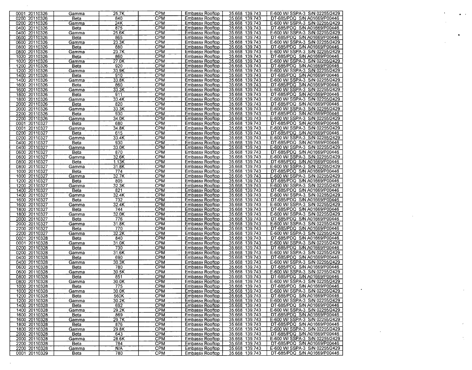|               |             | 25.7K | <b>CPM</b> | Embassy Rooftop        | 35.668 139.743 | E-600 W/ SSPA-3 S/N 02255/2429 |  |
|---------------|-------------|-------|------------|------------------------|----------------|--------------------------------|--|
| 0001 20110326 | Gamma       |       | CPM        |                        |                |                                |  |
| 0200 20110326 | Beta        | 840   |            | Embassy Rooftop        | 35.668 139.743 | DT-685/PDQ S/N A01669/P00446   |  |
| 0200 20110326 | Gamma       | 24K   | CPM        | <b>Embassy Rooftop</b> | 35.668 139.743 | E-600 W/ SSPA-3 S/N 02255/2429 |  |
| 0400 20110326 | Beta        | 875   | <b>CPM</b> | Embassy Rooftop        | 35.668 139.743 | DT-685/PDQ S/N A01669/P00446   |  |
| 0400 20110326 | Gamma       | 25.6K | CPM        | Embassy Rooftop        | 35.668 139.743 | E-600 W/ SSPA-3 S/N 02255/2429 |  |
| 0600 20110326 | Beta        | 865   | CPM        | <b>Embassy Rooftop</b> | 35.668 139.743 | DT-685/PDQ S/N A01669/P00446   |  |
| 0600 20110326 | Gamma       | 23.3K | CPM        | Embassy Rooftop        | 35.668 139.743 | E-600 W/ SSPA-3 S/N 02255/2429 |  |
| 0800 20110326 | Beta        | 880   | <b>CPM</b> | Embassy Rooftop        | 35.668 139.743 | DT-685/PDQ S/N A01669/P00446   |  |
| 0800 20110326 | Gamma       | 23.7K | <b>CPM</b> | <b>Embassy Rooftop</b> | 35.668 139.743 | E-600 W/ SSPA-3 S/N 02255/2429 |  |
| 1020 20110326 | Beta        | 860   | <b>CPM</b> | Embassy Rooftop        | 35.668 139.743 | DT-685/PDQ S/N A01669/P00446   |  |
| 1020 20110326 | Gamma       | 27.0K | CPM        | <b>Embassy Rooftop</b> | 35.668 139.743 | E-600 W/ SSPA-3 S/N 02255/2429 |  |
| 1200 20110326 | Beta        | 920   | CPM        | <b>Embassy Rooftop</b> | 35.668 139.743 | DT-685/PDQ S/N A01669/P00446   |  |
| 1200 20110326 | Gamma       | 33.9K | CPM        | Embassy Rooftop        | 35.668 139.743 | E-600 W/ SSPA-3 S/N 02255/2429 |  |
| 1400 20110326 | <b>Beta</b> | 910   | CPM        | Embassy Rooftop        | 35.668 139.743 | DT-685/PDQ S/N A01669/P00446   |  |
| 1400 20110326 | Gamma       | 33.8K | CPM        | Embassy Rooftop        | 35.668 139.743 | E-600 W/ SSPA-3 S/N 02255/2429 |  |
| 1600 20110326 | Beta        | 860   | CPM        | Embassy Rooftop        | 35.668 139.743 | DT-685/PDQ S/N A01669/P00446   |  |
|               |             |       |            |                        |                | E-600 W/ SSPA-3 S/N 02255/2429 |  |
| 1600 20110326 | Gamma       | 33.3K | <b>CPM</b> | <b>Embassy Rooftop</b> | 35.668 139.743 |                                |  |
| 1800 20110326 | Beta        | 911   | <b>CPM</b> | Embassy Rooftop        | 35.668 139.743 | DT-685/PDQ S/N A01669/P00446   |  |
| 1800 20110326 | Gamma       | 33.4K | <b>CPM</b> | <b>Embassy Rooftop</b> | 35.668 139.743 | E-600 W/ SSPA-3 S/N 02255/2429 |  |
| 2000 20110326 | Beta        | 820   | <b>CPM</b> | <b>Embassy Rooftop</b> | 35.668 139.743 | DT-685/PDQ S/N A01669/P00446   |  |
| 2000 20110326 | Gamma       | 33.3K | <b>CPM</b> | Embassy Rooftop        | 35.668 139.743 | E-600 W/ SSPA-3 S/N 02255/2429 |  |
| 2200 20110326 | Beta        | 930   | <b>CPM</b> | <b>Embassy Rooftop</b> | 35.668 139.743 | DT-685/PDQ S/N A01669/P00446   |  |
| 2200 20110326 | Gamma       | 34.0K | <b>CPM</b> | <b>Embassy Rooftop</b> | 35.668 139.743 | E-600 W/ SSPA-3 S/N 02255/2429 |  |
| 0001 20110327 | Beta        | 680   | <b>CPM</b> | Embassy Rooftop        | 35.668 139.743 | DT-685/PDQ S/N A01669/P00446   |  |
| 0001 20110327 | Gamma       | 34.8K | <b>CPM</b> | <b>Embassy Rooftop</b> | 35.668 139.743 | E-600 W/ SSPA-3 S/N 02255/2429 |  |
| 0200 20110327 | Beta        | 615   | <b>CPM</b> | <b>Embassy Rooftop</b> | 35.668 139.743 | DT-685/PDQ S/N A01669/P00446   |  |
| 0200 20110327 |             | 33.4K | <b>CPM</b> |                        | 35.668 139.743 | E-600 W/ SSPA-3 S/N 02255/2429 |  |
|               | Gamma       |       |            | Embassy Rooftop        |                |                                |  |
| 0400 20110327 | Beta        | 930   | <b>CPM</b> | <b>Embassy Rooftop</b> | 35.668 139.743 | DT-685/PDQ S/N A01669/P00446   |  |
| 0400 20110327 | Gamma       | 33.0K | <b>CPM</b> | <b>Embassy Rooftop</b> | 35.668 139.743 | E-600 W/ SSPA-3 S/N 02255/2429 |  |
| 0600 20110327 | Beta        | 870   | <b>CPM</b> | Embassy Rooftop        | 35.668 139.743 | DT-685/PDQ S/N A01669/P00446   |  |
| 0600 20110327 | Gamma       | 32.6K | <b>CPM</b> | <b>Embassy Rooftop</b> | 35.668 139.743 | E-600 W/ SSPA-3 S/N 02255/2429 |  |
| 0800 20110327 | Beta        | 1.13K | <b>CPM</b> | <b>Embassy Rooftop</b> | 35.668 139.743 | DT-685/PDQ S/N A01669/P00446   |  |
| 0800 20110327 | Gamma       | 31.8K | CPM        | Embassy Rooftop        | 35.668 139.743 | E-600 W/ SSPA-3 S/N 02255/2429 |  |
| 1000 20110327 | Beta        | 774   | CPM        | Embassy Rooftop        | 35.668 139.743 | DT-685/PDQ S/N A01669/P00446   |  |
| 1000 20110327 | Gamma       | 32.7K | <b>CPM</b> | <b>Embassy Rooftop</b> | 35.668 139.743 | E-600 W/ SSPA-3 S/N 02255/2429 |  |
| 1200 20110327 | Beta        | 805   | <b>CPM</b> | Embassy Rooftop        | 35.668 139.743 | DT-685/PDQ S/N A01669/P00446   |  |
| 1200 20110327 | Gamma       | 32.3K | <b>CPM</b> | Embassy Rooftop        | 35.668 139.743 | E-600 W/ SSPA-3 S/N 02255/2429 |  |
| 1400 20110327 | Beta        | 821   | <b>CPM</b> | <b>Embassy Rooftop</b> | 35.668 139.743 | DT-685/PDQ S/N A01669/P00446   |  |
| 1400 20110327 | Gamma       | 32.4K | <b>CPM</b> | Embassy Rooftop        | 35.668 139.743 | E-600 W/ SSPA-3 S/N 02255/2429 |  |
| 1600 20110327 |             | 732   | CPM        | <b>Embassy Rooftop</b> | 35.668 139.743 | DT-685/PDQ S/N A01669/P00446   |  |
|               | Beta        |       |            |                        |                |                                |  |
| 1600 20110327 | Gamma       | 32.4K | <b>CPM</b> | <b>Embassy Rooftop</b> | 35.668 139.743 | E-600 W/ SSPA-3 S/N 02255/2429 |  |
| 1800 20110327 | Beta        | 744   | CPM        | Embassy Rooftop        | 35.668 139.743 | DT-685/PDQ S/N A01669/P00446   |  |
| 1800 20110327 | Gamma       | 32.0K | CPM        | <b>Embassy Rooftop</b> | 35.668 139.743 | E-600 W/ SSPA-3 S/N 02255/2429 |  |
| 2000 20110327 | Beta        | 776   | <b>CPM</b> | Embassy Rooftop        | 35.668 139.743 | DT-685/PDQ S/N A01669/P00446   |  |
| 2000 20110327 | Gamma       | 31.8K | <b>CPM</b> | <b>Embassy Rooftop</b> | 35.668 139.743 | E-600 W/ SSPA-3 S/N 02255/2429 |  |
| 2200 20110327 | Beta        | 770   | <b>CPM</b> | Embassy Rooftop        | 35.668 139.743 | DT-685/PDQ S/N A01669/P00446   |  |
| 2200 20110327 | Gamma       | 32.2K | <b>CPM</b> | Embassy Rooftop        | 35.668 139.743 | E-600 W/ SSPA-3 S/N 02255/2429 |  |
| 0001 20110328 | Beta        | 840   | <b>CPM</b> | <b>Embassy Rooftop</b> | 35.668 139.743 | DT-685/PDQ S/N A01669/P00446   |  |
| 0001 20110328 | Gamma       | 31.0K | <b>CPM</b> | <b>Embassy Rooftop</b> | 35.668 139.743 | E-600 W/ SSPA-3 S/N 02255/2429 |  |
| 0200 20110328 | Beta        | 730   | CPM        | Embassy Rooftop        | 35.668 139.743 | DT-685/PDQ S/N A01669/P00446   |  |
| 0200 20110328 |             | 31.6K | <b>CPM</b> | <b>Embassy Rooftop</b> | 35.668 139.743 | E-600 W/ SSPA-3 S/N 02255/2429 |  |
|               | Gamma       |       |            |                        |                |                                |  |
| 0400 20110328 | Beta        | 690   | <b>CPM</b> | Embassy Rooftop        | 35.668 139.743 | DT-685/PDQ S/N A01669/P00446   |  |
| 0400 20110328 | Gamma       | 30.3K | <b>CPM</b> | Embassy Rooftop        | 35.668 139.743 | E-600 W/ SSPA-3 S/N 02255/2429 |  |
| 0600 20110328 | Beta        | 780   | <b>CPM</b> | Embassy Rooftop        | 35.668 139.743 | DT-685/PDQ S/N A01669/P00446   |  |
| 0600 20110328 | Gamma       | 30.5K | <b>CPM</b> | Embassy Rooftop        | 35.668 139.743 | E-600 W/ SSPA-3 S/N 02255/2429 |  |
| 0800 20110328 | Beta        | 851   | <b>CPM</b> | Embassy Rooftop        | 35.668 139.743 | DT-685/PDQ S/N A01669/P00446   |  |
| 0800 20110328 | Gamma       | 30.0K | <b>CPM</b> | <b>Embassy Rooftop</b> | 35.668 139.743 | E-600 W/ SSPA-3 S/N 02255/2429 |  |
| 1000 20110328 | Beta        | 775   | <b>CPM</b> | <b>Embassy Rooftop</b> | 35.668 139.743 | DT-685/PDQ S/N A01669/P00446   |  |
| 1000 20110328 | Gamma       | 30.0K | CPM        | <b>Embassy Rooftop</b> | 35.668 139.743 | E-600 W/ SSPA-3 S/N 02255/2429 |  |
| 1200 20110328 | Beta        | 560K  | <b>CPM</b> | Embassy Rooftop        | 35.668 139.743 | DT-685/PDQ S/N A01669/P00446   |  |
| 1200 20110328 | Gamma       | 30.2K | <b>CPM</b> | <b>Embassy Rooftop</b> | 35.668 139.743 | E-600 W/ SSPA-3 S/N 02255/2429 |  |
| 1400 20110328 | Beta        | 692   | <b>CPM</b> | Embassy Rooftop        | 35.668 139.743 | DT-685/PDQ S/N A01669/P00446   |  |
| 1400 20110328 | Gamma       | 29.2K | <b>CPM</b> | <b>Embassy Rooftop</b> | 35.668 139.743 | E-600 W/ SSPA-3 S/N 02255/2429 |  |
| 1600 20110328 |             |       |            |                        |                | DT-685/PDQ S/N A01669/P00446   |  |
|               | Beta        | 869   | <b>CPM</b> | <b>Embassy Rooftop</b> | 35.668 139.743 |                                |  |
| 1600 20110328 | Gamma       | 29.7K | <b>CPM</b> | <b>Embassy Rooftop</b> | 35.668 139.743 | E-600 W/ SSPA-3 S/N 02255/2429 |  |
| 1800 20110328 | Beta        | 876   | <b>CPM</b> | <b>Embassy Rooftop</b> | 35.668 139.743 | DT-685/PDQ S/N A01669/P00446   |  |
| 1800 20110328 | Gamma       | 29.8K | <b>CPM</b> | Embassy Rooftop        | 35.668 139.743 | E-600 W/ SSPA-3 S/N 02255/2429 |  |
| 2000 20110328 | Beta        | 643   | <b>CPM</b> | <b>Embassy Rooftop</b> | 35.668 139.743 | DT-685/PDQ S/N A01669/P00446   |  |
| 2000 20110328 | Gamma       | 28.6K | <b>CPM</b> | Embassy Rooftop        | 35.668 139.743 | E-600 W/ SSPA-3 S/N 02255/2429 |  |
| 2200 20110328 | Beta        | 784   | CPM        | Embassy Rooftop        | 35.668 139.743 | DT-685/PDQ S/N A01669/P00446   |  |
| 2200 20110328 | Gamma       | N/A   | <b>CPM</b> | <b>Embassy Rooftop</b> | 35.668 139.743 | E-600 W/ SSPA-3 S/N 02255/2429 |  |
| 0001 20110329 | Beta        | 780   | <b>CPM</b> | Embassy Rooftop        | 35.668 139.743 | DT-685/PDQ S/N A01669/P00446   |  |
|               |             |       |            |                        |                |                                |  |

 $\mathcal{A}^{\mathcal{A}}$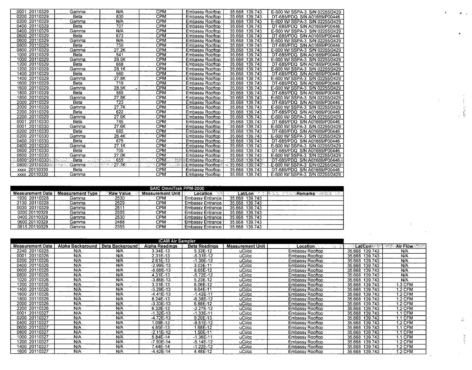| 0001 20110329    | Gamma                                            | N/A                     | <b>CPM</b>               | <b>Embassy Rooftop</b> | 35.668 139.743                    | E-600 W/ SSPA-3 S/N 02255/2429 |
|------------------|--------------------------------------------------|-------------------------|--------------------------|------------------------|-----------------------------------|--------------------------------|
| 0200 20110329    | <b>Beta</b>                                      | 830                     | <b>CPM</b>               | Embassy Rooftop        | 35.668 139.743                    | DT-685/PDQ S/N A01669/P00446   |
| 0200 20110329    | Gamma                                            | N/A                     | <b>CPM</b>               | Embassy Rooftop        | 35.668 139.743                    | E-600 W/ SSPA-3 S/N 02255/2429 |
| 0400 20110329    | <b>Beta</b>                                      | 707                     | <b>CPM</b>               | <b>Embassy Rooftop</b> | 35.668 139.743                    | DT-685/PDQ S/N A01669/P00446   |
| 0400 20110329    | Gamma                                            | N/A                     | <b>CPM</b>               | Embassy Rooftop        | 35.668 139.743                    | E-600 W/ SSPA-3 S/N 02255/2429 |
| 0600 20110329    | Beta                                             | 673                     | CPM                      | <b>Embassy Rooftop</b> | 35.668 139.743                    | DT-685/PDQ S/N A01669/P00446   |
| 0600 20110329    | Gamma                                            | N/A                     | <b>CPM</b>               | <b>Embassy Rooftop</b> | 35.668 139.743                    | E-600 W/ SSPA-3 S/N 02255/2429 |
| 0800 20110329    | <b>Beta</b>                                      | 750                     | <b>CPM</b>               | Embassy Rooftop        | 35.668 139.743                    | DT-685/PDQ S/N A01669/P00446   |
| 0800 20110329    | Gamma                                            | 27.2K                   | <b>CPM</b>               | <b>Embassy Rooftop</b> | 35.668 139.743                    | E-600 W/ SSPA-3 S/N 02255/2429 |
| 1000 20110329    | <b>Beta</b>                                      | 541                     | <b>CPM</b>               | <b>Embassy Rooftop</b> | 139.743<br>35.668                 | DT-685/PDQ S/N A01669/P00446   |
| 1000 20110329    | Gamma                                            | 28.5K                   | <b>CPM</b>               | <b>Embassy Rooftop</b> | 35,668 139.743                    | E-600 W/ SSPA-3 S/N 02255/2429 |
| 1200 20110329    | Beta                                             | 668                     | <b>CPM</b>               | <b>Embassy Rooftop</b> | 35.668 139.743                    | DT-685/PDQ S/N A01669/P00446   |
| 1200 20110329    | Gamma                                            | 28.1K                   | <b>CPM</b>               | <b>Embassy Rooftop</b> | 35.668 139.743                    | E-600 W/ SSPA-3 S/N 02255/2429 |
| 1400 20110329    | Beta                                             | 560                     | <b>CPM</b>               | Embassy Rooftop        | 35.668 139.743                    | DT-685/PDQ S/N A01669/P00446   |
| 1400 20110329    | Gamma                                            | 27.8K                   | CPM                      | Embassy Rooftop        | 35.668 139.743                    | E-600 W/ SSPA-3 S/N 02255/2429 |
| 1600 20110329    | <b>Beta</b>                                      | 719                     | <b>CPM</b>               | Embassy Rooftop        | 35.668 139.743                    | DT-685/PDQ S/N A01669/P00446   |
| 1600 20110329    | Gamma                                            | 28.5K                   | $\overline{\text{CPM}}$  | <b>Embassy Rooftop</b> | 35.668 139.743                    | E-600 W/ SSPA-3 S/N 02255/2429 |
| 1800 20110329    | <b>Beta</b>                                      | 565                     | <b>CPM</b>               | Embassy Rooftop        | 35.668 139.743                    | DT-685/PDQ S/N A01669/P00446   |
| 1800 20110329    | Gamma                                            | 27.8K                   | <b>CPM</b>               | Embassy Rooftop        | 35.668 139.743                    | E-600 W/ SSPA-3 S/N 02255/2429 |
| 2000 20110329    | Beta                                             | 723                     | <b>CPM</b>               | Embassy Rooftop        | 35.668 139.743                    | DT-685/PDQ S/N A01669/P00446   |
| 2000 20110329    | Gamma                                            | 27.7K                   | <b>CPM</b>               | Embassy Rooftop        | 35.668 139.743                    | E-600 W/ SSPA-3 S/N 02255/2429 |
| 2200 20110329    | Beta                                             | 622                     | <b>CPM</b>               | <b>Embassy Rooftop</b> | 35.668 139.743                    | DT-685/PDQ S/N A01669/P00446   |
| 2200 20110329    | Gamma                                            | 27.6K                   | <b>CPM</b>               | Embassy Rooftop        | 35.668 139.743                    | E-600 W/ SSPA-3 S/N 02255/2429 |
| 20110330<br>0001 | Beta                                             | 745                     | <b>CPM</b>               | Embassy Rooftop        | 35.668 139.743                    | DT-685/PDQ S/N A01669/P00446   |
| 20110330<br>0001 | Gamma                                            | 27.6K                   | <b>CPM</b>               | <b>Embassy Rooftop</b> | 35.668 139.743                    | E-600 W/ SSPA-3 S/N 02255/2429 |
| 0200 20110330    | Beta                                             | 685                     | <b>CPM</b>               | Embassy Rooftop        | 35.668 139.743                    | DT-685/PDQ S/N A01669/P00446   |
| 0200 20110330    | Gamma                                            | 26.4K                   | CPM                      | <b>Embassy Rooftop</b> | 35.668 139.743                    | E-600 W/ SSPA-3 S/N 02255/2429 |
| 0400 20110330    | Beta                                             | 675                     | <b>CPM</b>               | Embassy Rooftop        | 35.668 139.743                    | DT-685/PDQ S/N A01669/P00446   |
| 0400 20110330    | Gamma                                            | 27.1K                   | <b>CPM</b>               | <b>Embassy Rooftop</b> | 35.668 139.743                    | E-600 W/ SSPA-3 S/N 02255/2429 |
| 0600 20110330    | <b>Beta</b>                                      | 705                     | <b>CPM</b>               | Embassy Rooftop        | 35.668 139.743                    | DT-685/PDQ S/N A01669/P00446   |
| 0600 20110330    | Gamma                                            | 27.0K                   | CPM                      | Embassy Rooftop        | 35.668 139.743                    | E-600 W/ SSPA-3 S/N 02255/2429 |
| 0800 20110330    | an di Jawa<br>Kabupatèn Ka<br>कर्णदे<br>- Beta ⊹ | 655<br>-22<br>i jiwa    | CPM:<br>8                | Embassy Rooftop.       | 35.668 139.743                    | DT-685/PDQ S/N:A01669/P00446   |
| 0800 20110330    | -Gamma⇔≧e<br>na za Su                            | $-27.7K$<br>rita Silver | CPM <sub>2</sub><br>E. W | Embassy Rooftop        | ਾ≼: 35.668 ੋ139.743 <sup></sup> ਾ | E-600 W/ SSPA-3 S/N 02255/2429 |
| xxx 20110330     | Beta                                             |                         | <b>CPM</b>               | Embassy Rooftop        | 35.668 139.743                    | DT-685/PDQ S/N A01669/P00446   |
| xxxx 20110330    | Gamma                                            |                         | CPM                      | Embassy Rooftop        | 35.668 139.743                    | E-600 W/ SSPA-3 S/N 02255/2429 |

| SAIC OmniTrak PPM-2000  |                         |            |                  |                           |                      |                |  |  |  |  |  |  |  |
|-------------------------|-------------------------|------------|------------------|---------------------------|----------------------|----------------|--|--|--|--|--|--|--|
| <b>Measurement Date</b> | <b>Measurement Type</b> | ੰRaw Value | Measurement Unit | ेल्के<br>Location         | Lat/Lon <sup>*</sup> | ುRemarks ಹ≪⊗ಟ∵ |  |  |  |  |  |  |  |
| 1930 20110328           | Gamma                   | 2530       | CPM              | Embassy Entrance          | 35.668 139.743       |                |  |  |  |  |  |  |  |
| 2130 20110328           | Gamma                   | 2529       | CPM              | Embassy Entrance I        | 35.668 139.743       |                |  |  |  |  |  |  |  |
| 0030 20110329           | Gamma                   | 2511       | срм              | Embassy Entrance I        | 35.668 139.743       |                |  |  |  |  |  |  |  |
| 0200 20110329           | Gamma                   | 2505       | CPM              | Embassy Entrance I        | 35.668 139.743       |                |  |  |  |  |  |  |  |
| 0400 20110329           | Gamma                   | 2530       | CPM              | <b>Embassy Entrance  </b> | 35.668 139.743       |                |  |  |  |  |  |  |  |
| 0600 20110329           | Gamma                   | 2488       | CPM              | Embassy Entrance I        | 35.668 139.743       |                |  |  |  |  |  |  |  |
| 0815 20110329           | Gamma                   | 2355       | CPM              | Embassy Entrance          | 35.668 139.743       |                |  |  |  |  |  |  |  |

| <b>iCAM Air Sampler</b> |                  |                        |                       |                      |                         |                        |                           |                        |  |  |  |  |
|-------------------------|------------------|------------------------|-----------------------|----------------------|-------------------------|------------------------|---------------------------|------------------------|--|--|--|--|
| <b>Measurement Date</b> | Alpha Background | <b>Beta Background</b> | <b>Alpha Readings</b> | <b>Beta Readings</b> | <b>Measurement Unit</b> | Location               | <b>ા∠at/L</b> on સ્કલ્ટની | Air Flow 1980)<br>-723 |  |  |  |  |
| 2240 20110325           | N/A              | N/A                    | 3.34E-13              | 5.33E-12             | uCi/cc                  | Embassy Rooftop        | 35.668 139.743            | N/A                    |  |  |  |  |
| 20110326<br>0001        | N/A              | N/A                    | $2.31E-13$            | $-5.31E-12$          | uCi/cc                  | Embassy Rooftop        | 35.668<br>139.743         | N/A                    |  |  |  |  |
| 0200 20110326           | N/A              | N/A                    | 2.61E-13              | $-1.30E - 12$        | uCi/cc                  | <b>Embassy Rooftop</b> | 35.668<br>139.743         | N/A                    |  |  |  |  |
| 0400 20110326           | N/A              | N/A                    | -2.99E-13             | 3.03E-11             | uCi/cc                  | Embassy Rooftop        | 35.668<br>139.743         | N/A                    |  |  |  |  |
| 0600 20110326           | N/A              | N/A                    | $-8.68E-13$           | 8.65E-12             | uCi/cc                  | Embassy Rooftop        | 35.668<br>139.743         | N/A                    |  |  |  |  |
| 0800 20110326           | N/A              | N/A                    | 4.31E-13              | -5.72E-12            | uCi/cc                  | Embassy Rooftop        | 35.668 139.743            | N/A                    |  |  |  |  |
| 1020 20110326           | N/A              | N/A                    | $-3.86E - 13$         | 5.23E-12             | uCi/cc                  | Embassy Rooftop        | 35.668 139.743            | N/A                    |  |  |  |  |
| 1200 20110326           | N/A              | N/A                    | 3.31E-13              | 6.06E-12             | uCi/cc                  | Embassy Rooftop        | 35.668<br>139.743         | 1.3 CFM                |  |  |  |  |
| 1400 20110326           | N/A              | N/A                    | $-5.29E-13$           | 9.64E-11             | uCi/cc                  | Embassy Rooftop        | 35.668<br>139.743         | 1.2 CFM                |  |  |  |  |
| 1600 20110326           | N/A              | N/A                    | $-4.41E-13$           | $-1.42E-11$          | uCi/cc                  | Embassy Rooftop        | 35.668 139.743            | 1.2 CFM                |  |  |  |  |
| 1800 20110326           | N/A              | N/A                    | 8.24E-13              | $-6.38E - 12$        | uCi/cc                  | Embassy Rooftop        | 35.668<br>139.743         | 1.2 CFM                |  |  |  |  |
| 2000 20110326           | N/A              | N/A                    | $-3.33E-13$           | 6.88E-12             | uCi/cc                  | Embassy Rooftop        | 35.668<br>139,743         | 1.2 CFM                |  |  |  |  |
| 2200 20110326           | N/A              | N/A                    | 6.32E-13              | -2.27E-12            | uCi/cc                  | Embassy Rooftop        | 35.668<br>139.743         | I.2 CFM                |  |  |  |  |
| 20110327<br>0001        | N/A              | N/A                    | $-1.32E-13$           | $-1.33E - 11$        | uCi/cc                  | Embassy Rooftop        | 139.743<br>35.668         | 1.1 CFM                |  |  |  |  |
| 0200 20110327           | N/A              | N/A                    | $-4.72E-13$           | 9.20E-13             | uCi/cc                  | Embassy Rooftop        | 35.668<br>139.743         | 1.1 CFM                |  |  |  |  |
| 0400 20110327           | N/A              | N/A                    | 1.09E-12              | $-9.51E-12$          | uCi/cc                  | Embassy Rooftop        | 35.668<br>139.743         | 1.2 CFM                |  |  |  |  |
| 0600 20110327           | N/A              | N/A                    | 4.85E-13              | 1.68E-12             | uCi/cc                  | Embassy Rooftop        | 139.743<br>35.668         | <b>1.1 CFM</b>         |  |  |  |  |
| 0800 20110327           | N/A              | N/A                    | $-2.11E-12$           | .50E-11              | uCi/cc                  | Embassy Rooftop        | 139.743<br>35.668         | <b>1.1 CFM</b>         |  |  |  |  |
| 1000 20110327           | N/A              | N/A                    | 5.84E-14              | $-1.36E - 11$        | uCi/cc                  | Embassy Rooftop        | 35.668<br>139.743         | 1.1 CFM                |  |  |  |  |
| 1200 20110327           | N/A              | N/A                    | $-7.93E - 14$         | $-5.14E-12$          | uCi/cc                  | Embassy Rooftop        | 35.668<br>139.743         | 1.2 CFM                |  |  |  |  |
| 1400 20110327           | N/A              | N/A                    | 7.44E-14              | $-1.22E - 12$        | uCi/cc                  | Embassy Rooftop        | 35.668<br>139.743         | 1.2 CFM                |  |  |  |  |
| 1600 20110327           | N/A              | N/A                    | $-4.42E-14$           | 4.48E-12             | uCi/cc                  | Embassy Rooftop        | 35.668 139.743            | 1.2 CFM                |  |  |  |  |

 $\hat{\pmb{q}}_{i+1}$ 

 $\bullet$ 

a<br>Maria Caracteria

 $\frac{d}{d\phi}$ 

 $\frac{1}{2}$ 

 $\mathcal{A}^{\mathcal{A}}$ 

 $\hat{\mathcal{L}}$ 

 $\ddot{\phantom{1}}$ 

 $\frac{1}{2}$